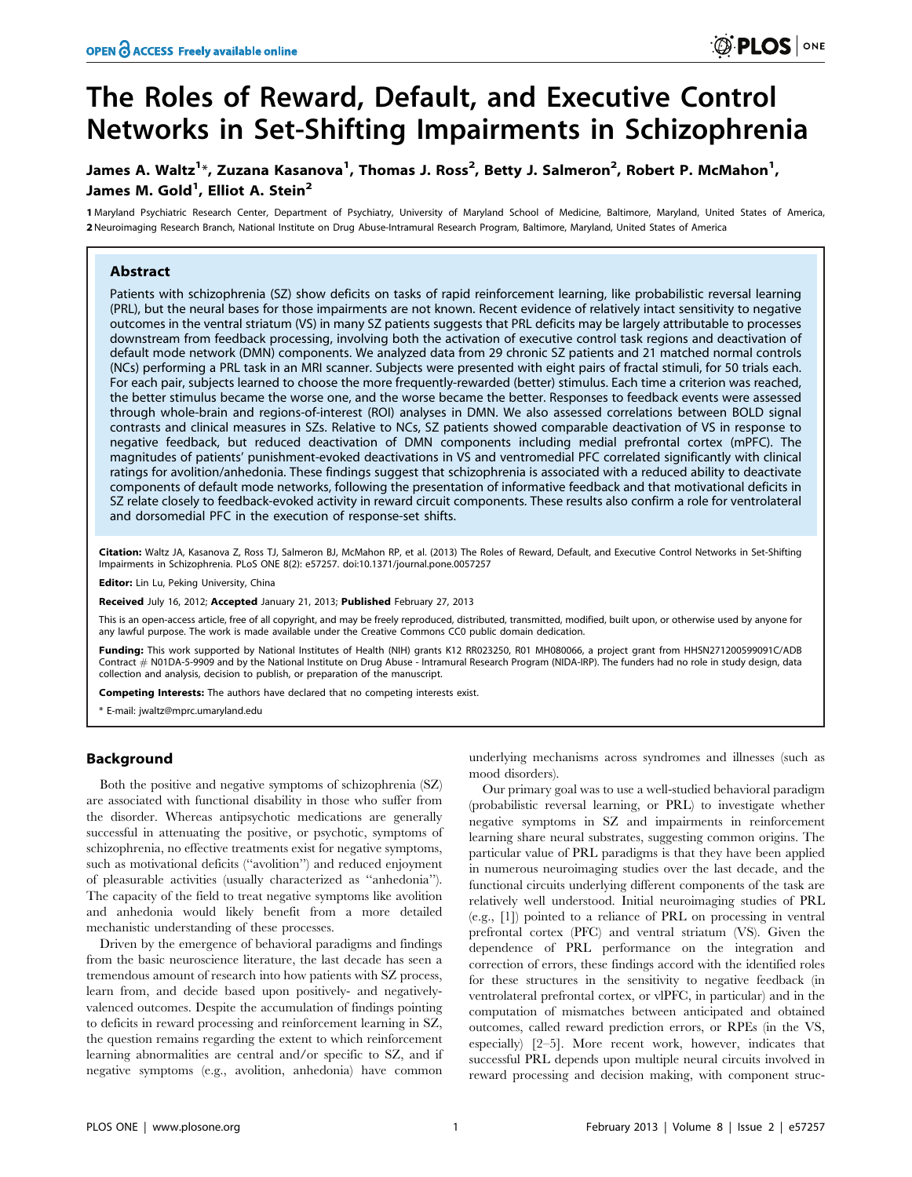# The Roles of Reward, Default, and Executive Control Networks in Set-Shifting Impairments in Schizophrenia

# James A. Waltz<sup>1</sup>\*, Zuzana Kasanova<sup>1</sup>, Thomas J. Ross<sup>2</sup>, Betty J. Salmeron<sup>2</sup>, Robert P. McMahon<sup>1</sup>, James M. Gold<sup>1</sup>, Elliot A. Stein<sup>2</sup>

1 Maryland Psychiatric Research Center, Department of Psychiatry, University of Maryland School of Medicine, Baltimore, Maryland, United States of America, 2 Neuroimaging Research Branch, National Institute on Drug Abuse-Intramural Research Program, Baltimore, Maryland, United States of America

# Abstract

Patients with schizophrenia (SZ) show deficits on tasks of rapid reinforcement learning, like probabilistic reversal learning (PRL), but the neural bases for those impairments are not known. Recent evidence of relatively intact sensitivity to negative outcomes in the ventral striatum (VS) in many SZ patients suggests that PRL deficits may be largely attributable to processes downstream from feedback processing, involving both the activation of executive control task regions and deactivation of default mode network (DMN) components. We analyzed data from 29 chronic SZ patients and 21 matched normal controls (NCs) performing a PRL task in an MRI scanner. Subjects were presented with eight pairs of fractal stimuli, for 50 trials each. For each pair, subjects learned to choose the more frequently-rewarded (better) stimulus. Each time a criterion was reached, the better stimulus became the worse one, and the worse became the better. Responses to feedback events were assessed through whole-brain and regions-of-interest (ROI) analyses in DMN. We also assessed correlations between BOLD signal contrasts and clinical measures in SZs. Relative to NCs, SZ patients showed comparable deactivation of VS in response to negative feedback, but reduced deactivation of DMN components including medial prefrontal cortex (mPFC). The magnitudes of patients' punishment-evoked deactivations in VS and ventromedial PFC correlated significantly with clinical ratings for avolition/anhedonia. These findings suggest that schizophrenia is associated with a reduced ability to deactivate components of default mode networks, following the presentation of informative feedback and that motivational deficits in SZ relate closely to feedback-evoked activity in reward circuit components. These results also confirm a role for ventrolateral and dorsomedial PFC in the execution of response-set shifts.

Citation: Waltz JA, Kasanova Z, Ross TJ, Salmeron BJ, McMahon RP, et al. (2013) The Roles of Reward, Default, and Executive Control Networks in Set-Shifting Impairments in Schizophrenia. PLoS ONE 8(2): e57257. doi:10.1371/journal.pone.0057257

Editor: Lin Lu, Peking University, China

Received July 16, 2012; Accepted January 21, 2013; Published February 27, 2013

This is an open-access article, free of all copyright, and may be freely reproduced, distributed, transmitted, modified, built upon, or otherwise used by anyone for any lawful purpose. The work is made available under the Creative Commons CC0 public domain dedication.

Funding: This work supported by National Institutes of Health (NIH) grants K12 RR023250, R01 MH080066, a project grant from HHSN271200599091C/ADB Contract # N01DA-5-9909 and by the National Institute on Drug Abuse - Intramural Research Program (NIDA-IRP). The funders had no role in study design, data collection and analysis, decision to publish, or preparation of the manuscript.

Competing Interests: The authors have declared that no competing interests exist.

\* E-mail: jwaltz@mprc.umaryland.edu

# Background

Both the positive and negative symptoms of schizophrenia (SZ) are associated with functional disability in those who suffer from the disorder. Whereas antipsychotic medications are generally successful in attenuating the positive, or psychotic, symptoms of schizophrenia, no effective treatments exist for negative symptoms, such as motivational deficits (''avolition'') and reduced enjoyment of pleasurable activities (usually characterized as ''anhedonia''). The capacity of the field to treat negative symptoms like avolition and anhedonia would likely benefit from a more detailed mechanistic understanding of these processes.

Driven by the emergence of behavioral paradigms and findings from the basic neuroscience literature, the last decade has seen a tremendous amount of research into how patients with SZ process, learn from, and decide based upon positively- and negativelyvalenced outcomes. Despite the accumulation of findings pointing to deficits in reward processing and reinforcement learning in SZ, the question remains regarding the extent to which reinforcement learning abnormalities are central and/or specific to SZ, and if negative symptoms (e.g., avolition, anhedonia) have common

underlying mechanisms across syndromes and illnesses (such as mood disorders).

Our primary goal was to use a well-studied behavioral paradigm (probabilistic reversal learning, or PRL) to investigate whether negative symptoms in SZ and impairments in reinforcement learning share neural substrates, suggesting common origins. The particular value of PRL paradigms is that they have been applied in numerous neuroimaging studies over the last decade, and the functional circuits underlying different components of the task are relatively well understood. Initial neuroimaging studies of PRL (e.g., [1]) pointed to a reliance of PRL on processing in ventral prefrontal cortex (PFC) and ventral striatum (VS). Given the dependence of PRL performance on the integration and correction of errors, these findings accord with the identified roles for these structures in the sensitivity to negative feedback (in ventrolateral prefrontal cortex, or vlPFC, in particular) and in the computation of mismatches between anticipated and obtained outcomes, called reward prediction errors, or RPEs (in the VS, especially) [2–5]. More recent work, however, indicates that successful PRL depends upon multiple neural circuits involved in reward processing and decision making, with component struc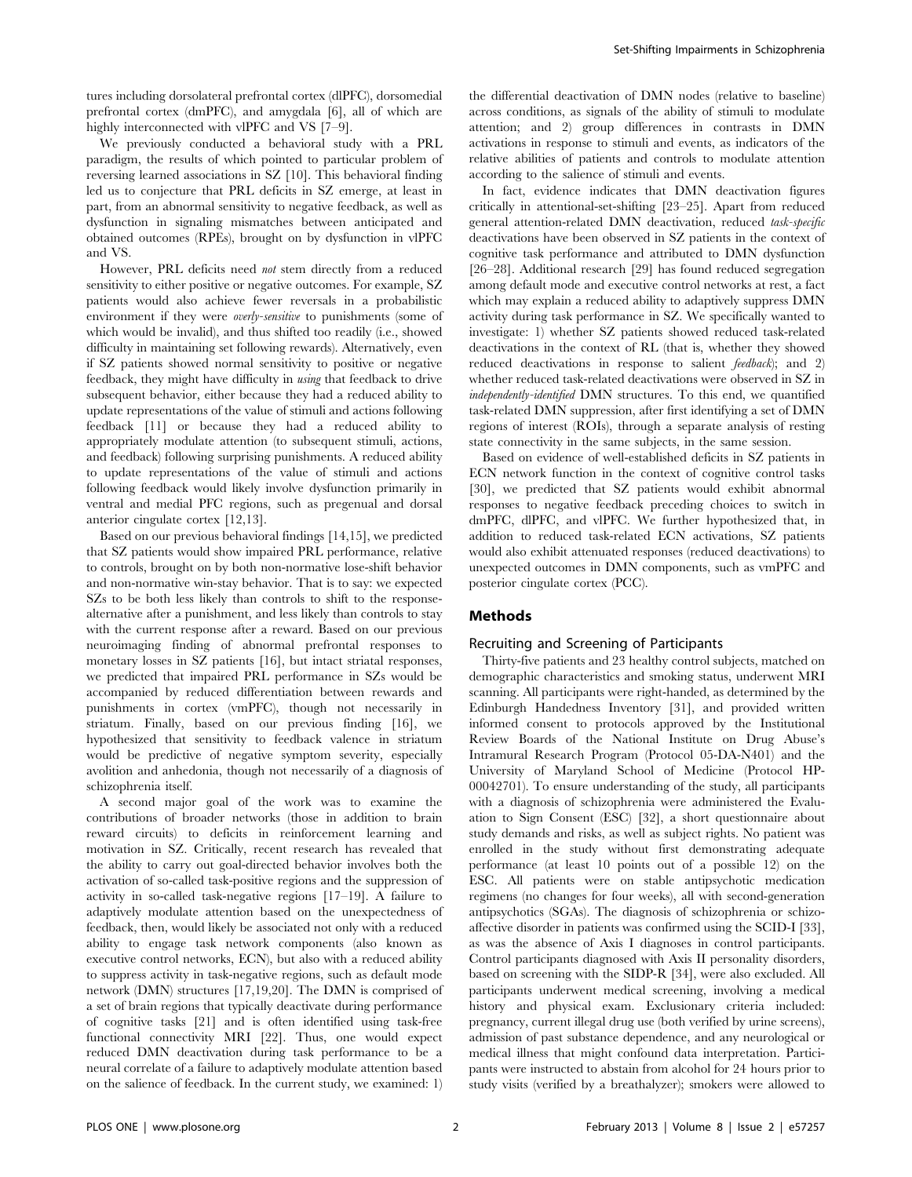tures including dorsolateral prefrontal cortex (dlPFC), dorsomedial prefrontal cortex (dmPFC), and amygdala [6], all of which are highly interconnected with vlPFC and VS [7–9].

We previously conducted a behavioral study with a PRL paradigm, the results of which pointed to particular problem of reversing learned associations in SZ [10]. This behavioral finding led us to conjecture that PRL deficits in SZ emerge, at least in part, from an abnormal sensitivity to negative feedback, as well as dysfunction in signaling mismatches between anticipated and obtained outcomes (RPEs), brought on by dysfunction in vlPFC and VS.

However, PRL deficits need not stem directly from a reduced sensitivity to either positive or negative outcomes. For example, SZ patients would also achieve fewer reversals in a probabilistic environment if they were *overly-sensitive* to punishments (some of which would be invalid), and thus shifted too readily (i.e., showed difficulty in maintaining set following rewards). Alternatively, even if SZ patients showed normal sensitivity to positive or negative feedback, they might have difficulty in using that feedback to drive subsequent behavior, either because they had a reduced ability to update representations of the value of stimuli and actions following feedback [11] or because they had a reduced ability to appropriately modulate attention (to subsequent stimuli, actions, and feedback) following surprising punishments. A reduced ability to update representations of the value of stimuli and actions following feedback would likely involve dysfunction primarily in ventral and medial PFC regions, such as pregenual and dorsal anterior cingulate cortex [12,13].

Based on our previous behavioral findings [14,15], we predicted that SZ patients would show impaired PRL performance, relative to controls, brought on by both non-normative lose-shift behavior and non-normative win-stay behavior. That is to say: we expected SZs to be both less likely than controls to shift to the responsealternative after a punishment, and less likely than controls to stay with the current response after a reward. Based on our previous neuroimaging finding of abnormal prefrontal responses to monetary losses in SZ patients [16], but intact striatal responses, we predicted that impaired PRL performance in SZs would be accompanied by reduced differentiation between rewards and punishments in cortex (vmPFC), though not necessarily in striatum. Finally, based on our previous finding [16], we hypothesized that sensitivity to feedback valence in striatum would be predictive of negative symptom severity, especially avolition and anhedonia, though not necessarily of a diagnosis of schizophrenia itself.

A second major goal of the work was to examine the contributions of broader networks (those in addition to brain reward circuits) to deficits in reinforcement learning and motivation in SZ. Critically, recent research has revealed that the ability to carry out goal-directed behavior involves both the activation of so-called task-positive regions and the suppression of activity in so-called task-negative regions [17–19]. A failure to adaptively modulate attention based on the unexpectedness of feedback, then, would likely be associated not only with a reduced ability to engage task network components (also known as executive control networks, ECN), but also with a reduced ability to suppress activity in task-negative regions, such as default mode network (DMN) structures [17,19,20]. The DMN is comprised of a set of brain regions that typically deactivate during performance of cognitive tasks [21] and is often identified using task-free functional connectivity MRI [22]. Thus, one would expect reduced DMN deactivation during task performance to be a neural correlate of a failure to adaptively modulate attention based on the salience of feedback. In the current study, we examined: 1) the differential deactivation of DMN nodes (relative to baseline) across conditions, as signals of the ability of stimuli to modulate attention; and 2) group differences in contrasts in DMN activations in response to stimuli and events, as indicators of the relative abilities of patients and controls to modulate attention according to the salience of stimuli and events.

In fact, evidence indicates that DMN deactivation figures critically in attentional-set-shifting [23–25]. Apart from reduced general attention-related DMN deactivation, reduced task-specific deactivations have been observed in SZ patients in the context of cognitive task performance and attributed to DMN dysfunction [26–28]. Additional research [29] has found reduced segregation among default mode and executive control networks at rest, a fact which may explain a reduced ability to adaptively suppress DMN activity during task performance in SZ. We specifically wanted to investigate: 1) whether SZ patients showed reduced task-related deactivations in the context of RL (that is, whether they showed reduced deactivations in response to salient *feedback*); and 2) whether reduced task-related deactivations were observed in SZ in independently-identified DMN structures. To this end, we quantified task-related DMN suppression, after first identifying a set of DMN regions of interest (ROIs), through a separate analysis of resting state connectivity in the same subjects, in the same session.

Based on evidence of well-established deficits in SZ patients in ECN network function in the context of cognitive control tasks [30], we predicted that SZ patients would exhibit abnormal responses to negative feedback preceding choices to switch in dmPFC, dlPFC, and vlPFC. We further hypothesized that, in addition to reduced task-related ECN activations, SZ patients would also exhibit attenuated responses (reduced deactivations) to unexpected outcomes in DMN components, such as vmPFC and posterior cingulate cortex (PCC).

## Methods

## Recruiting and Screening of Participants

Thirty-five patients and 23 healthy control subjects, matched on demographic characteristics and smoking status, underwent MRI scanning. All participants were right-handed, as determined by the Edinburgh Handedness Inventory [31], and provided written informed consent to protocols approved by the Institutional Review Boards of the National Institute on Drug Abuse's Intramural Research Program (Protocol 05-DA-N401) and the University of Maryland School of Medicine (Protocol HP-00042701). To ensure understanding of the study, all participants with a diagnosis of schizophrenia were administered the Evaluation to Sign Consent (ESC) [32], a short questionnaire about study demands and risks, as well as subject rights. No patient was enrolled in the study without first demonstrating adequate performance (at least 10 points out of a possible 12) on the ESC. All patients were on stable antipsychotic medication regimens (no changes for four weeks), all with second-generation antipsychotics (SGAs). The diagnosis of schizophrenia or schizoaffective disorder in patients was confirmed using the SCID-I [33], as was the absence of Axis I diagnoses in control participants. Control participants diagnosed with Axis II personality disorders, based on screening with the SIDP-R [34], were also excluded. All participants underwent medical screening, involving a medical history and physical exam. Exclusionary criteria included: pregnancy, current illegal drug use (both verified by urine screens), admission of past substance dependence, and any neurological or medical illness that might confound data interpretation. Participants were instructed to abstain from alcohol for 24 hours prior to study visits (verified by a breathalyzer); smokers were allowed to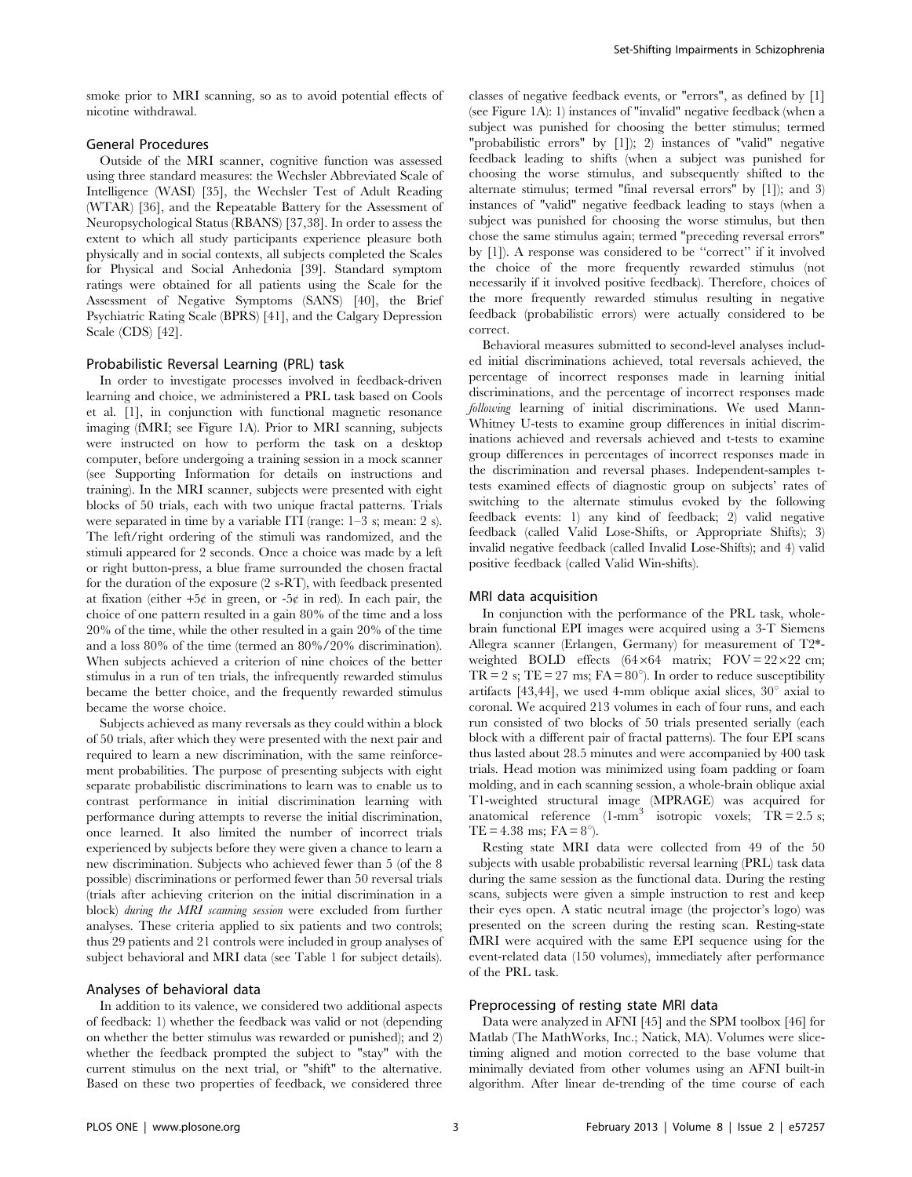smoke prior to MRI scanning, so as to avoid potential effects of nicotine withdrawal.

# General Procedures

Outside of the MRI scanner, cognitive function was assessed using three standard measures: the Wechsler Abbreviated Scale of Intelligence (WASI) [35], the Wechsler Test of Adult Reading (WTAR) [36], and the Repeatable Battery for the Assessment of Neuropsychological Status (RBANS) [37,38]. In order to assess the extent to which all study participants experience pleasure both physically and in social contexts, all subjects completed the Scales for Physical and Social Anhedonia [39]. Standard symptom ratings were obtained for all patients using the Scale for the Assessment of Negative Symptoms (SANS) [40], the Brief Psychiatric Rating Scale (BPRS) [41], and the Calgary Depression Scale (CDS) [42].

## Probabilistic Reversal Learning (PRL) task

In order to investigate processes involved in feedback-driven learning and choice, we administered a PRL task based on Cools et al. [1], in conjunction with functional magnetic resonance imaging (fMRI; see Figure 1A). Prior to MRI scanning, subjects were instructed on how to perform the task on a desktop computer, before undergoing a training session in a mock scanner (see Supporting Information for details on instructions and training). In the MRI scanner, subjects were presented with eight blocks of 50 trials, each with two unique fractal patterns. Trials were separated in time by a variable ITI (range: 1–3 s; mean: 2 s). The left/right ordering of the stimuli was randomized, and the stimuli appeared for 2 seconds. Once a choice was made by a left or right button-press, a blue frame surrounded the chosen fractal for the duration of the exposure (2 s-RT), with feedback presented at fixation (either  $+5¢$  in green, or  $-5¢$  in red). In each pair, the choice of one pattern resulted in a gain 80% of the time and a loss 20% of the time, while the other resulted in a gain 20% of the time and a loss 80% of the time (termed an 80%/20% discrimination). When subjects achieved a criterion of nine choices of the better stimulus in a run of ten trials, the infrequently rewarded stimulus became the better choice, and the frequently rewarded stimulus became the worse choice.

Subjects achieved as many reversals as they could within a block of 50 trials, after which they were presented with the next pair and required to learn a new discrimination, with the same reinforcement probabilities. The purpose of presenting subjects with eight separate probabilistic discriminations to learn was to enable us to contrast performance in initial discrimination learning with performance during attempts to reverse the initial discrimination, once learned. It also limited the number of incorrect trials experienced by subjects before they were given a chance to learn a new discrimination. Subjects who achieved fewer than 5 (of the 8 possible) discriminations or performed fewer than 50 reversal trials (trials after achieving criterion on the initial discrimination in a block) during the MRI scanning session were excluded from further analyses. These criteria applied to six patients and two controls; thus 29 patients and 21 controls were included in group analyses of subject behavioral and MRI data (see Table 1 for subject details).

## Analyses of behavioral data

In addition to its valence, we considered two additional aspects of feedback: 1) whether the feedback was valid or not (depending on whether the better stimulus was rewarded or punished); and 2) whether the feedback prompted the subject to "stay" with the current stimulus on the next trial, or "shift" to the alternative. Based on these two properties of feedback, we considered three classes of negative feedback events, or "errors", as defined by [1] (see Figure 1A): 1) instances of "invalid" negative feedback (when a subject was punished for choosing the better stimulus; termed "probabilistic errors" by [1]); 2) instances of "valid" negative feedback leading to shifts (when a subject was punished for choosing the worse stimulus, and subsequently shifted to the alternate stimulus; termed "final reversal errors" by [1]); and 3) instances of "valid" negative feedback leading to stays (when a subject was punished for choosing the worse stimulus, but then chose the same stimulus again; termed "preceding reversal errors" by [1]). A response was considered to be ''correct'' if it involved the choice of the more frequently rewarded stimulus (not necessarily if it involved positive feedback). Therefore, choices of the more frequently rewarded stimulus resulting in negative feedback (probabilistic errors) were actually considered to be correct.

Behavioral measures submitted to second-level analyses included initial discriminations achieved, total reversals achieved, the percentage of incorrect responses made in learning initial discriminations, and the percentage of incorrect responses made following learning of initial discriminations. We used Mann-Whitney U-tests to examine group differences in initial discriminations achieved and reversals achieved and t-tests to examine group differences in percentages of incorrect responses made in the discrimination and reversal phases. Independent-samples ttests examined effects of diagnostic group on subjects' rates of switching to the alternate stimulus evoked by the following feedback events: 1) any kind of feedback; 2) valid negative feedback (called Valid Lose-Shifts, or Appropriate Shifts); 3) invalid negative feedback (called Invalid Lose-Shifts); and 4) valid positive feedback (called Valid Win-shifts).

#### MRI data acquisition

In conjunction with the performance of the PRL task, wholebrain functional EPI images were acquired using a 3-T Siemens Allegra scanner (Erlangen, Germany) for measurement of T2\* weighted BOLD effects  $(64 \times 64$  matrix; FOV =  $22 \times 22$  cm; TR = 2 s; TE = 27 ms; FA =  $80^{\circ}$ ). In order to reduce susceptibility artifacts [43,44], we used 4-mm oblique axial slices,  $30^{\circ}$  axial to coronal. We acquired 213 volumes in each of four runs, and each run consisted of two blocks of 50 trials presented serially (each block with a different pair of fractal patterns). The four EPI scans thus lasted about 28.5 minutes and were accompanied by 400 task trials. Head motion was minimized using foam padding or foam molding, and in each scanning session, a whole-brain oblique axial T1-weighted structural image (MPRAGE) was acquired for anatomical reference  $(1-\text{mm}^3)$  isotropic voxels;  $\overrightarrow{\text{TR}} = 2.5$  s; TE = 4.38 ms;  $FA = 8^{\circ}$ ).

Resting state MRI data were collected from 49 of the 50 subjects with usable probabilistic reversal learning (PRL) task data during the same session as the functional data. During the resting scans, subjects were given a simple instruction to rest and keep their eyes open. A static neutral image (the projector's logo) was presented on the screen during the resting scan. Resting-state fMRI were acquired with the same EPI sequence using for the event-related data (150 volumes), immediately after performance of the PRL task.

# Preprocessing of resting state MRI data

Data were analyzed in AFNI [45] and the SPM toolbox [46] for Matlab (The MathWorks, Inc.; Natick, MA). Volumes were slicetiming aligned and motion corrected to the base volume that minimally deviated from other volumes using an AFNI built-in algorithm. After linear de-trending of the time course of each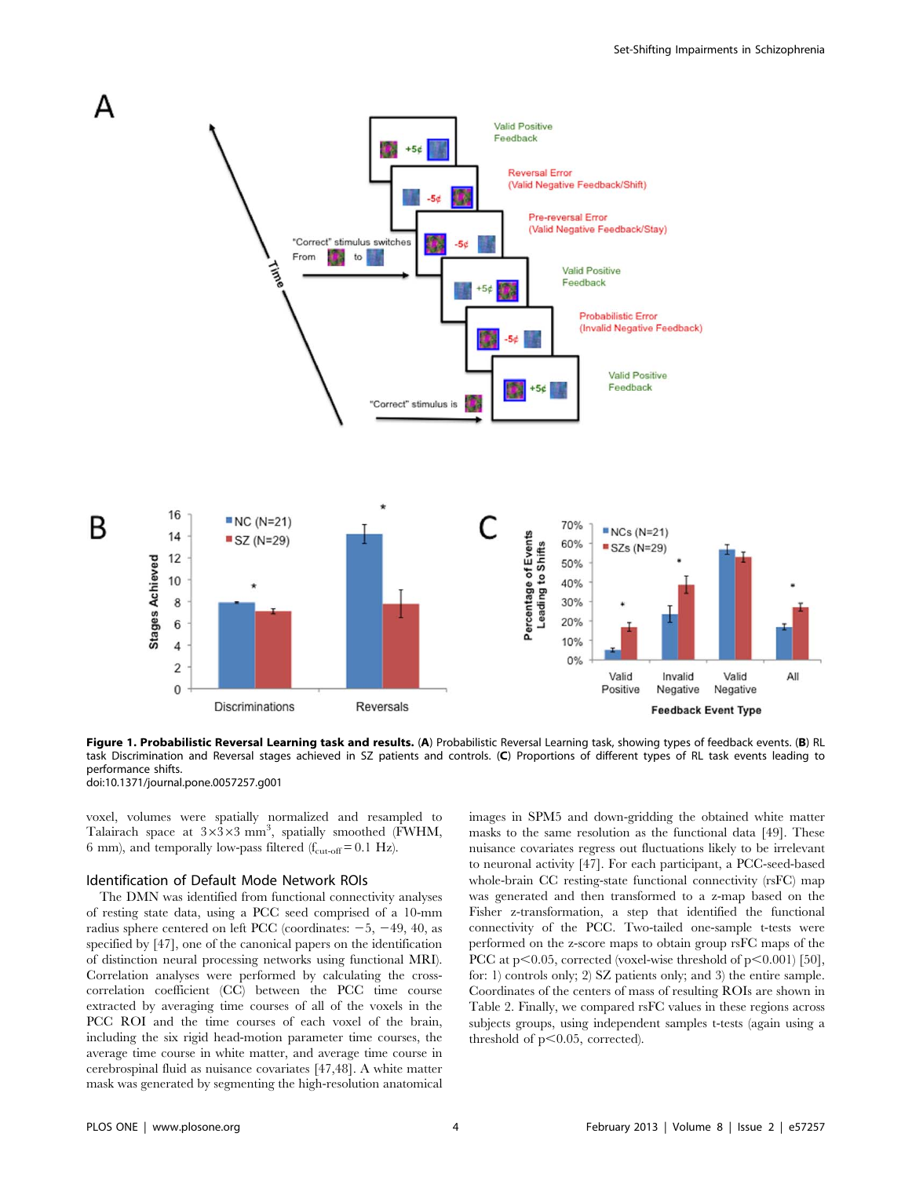

Figure 1. Probabilistic Reversal Learning task and results. (A) Probabilistic Reversal Learning task, showing types of feedback events. (B) RL task Discrimination and Reversal stages achieved in SZ patients and controls. (C) Proportions of different types of RL task events leading to performance shifts.

doi:10.1371/journal.pone.0057257.g001

voxel, volumes were spatially normalized and resampled to Talairach space at  $3\times3\times3$  mm<sup>3</sup>, spatially smoothed (FWHM, 6 mm), and temporally low-pass filtered ( $f_{\text{cut-off}} = 0.1 \text{ Hz}$ ).

#### Identification of Default Mode Network ROIs

The DMN was identified from functional connectivity analyses of resting state data, using a PCC seed comprised of a 10-mm radius sphere centered on left PCC (coordinates:  $-5$ ,  $-49$ , 40, as specified by [47], one of the canonical papers on the identification of distinction neural processing networks using functional MRI). Correlation analyses were performed by calculating the crosscorrelation coefficient (CC) between the PCC time course extracted by averaging time courses of all of the voxels in the PCC ROI and the time courses of each voxel of the brain, including the six rigid head-motion parameter time courses, the average time course in white matter, and average time course in cerebrospinal fluid as nuisance covariates [47,48]. A white matter mask was generated by segmenting the high-resolution anatomical images in SPM5 and down-gridding the obtained white matter masks to the same resolution as the functional data [49]. These nuisance covariates regress out fluctuations likely to be irrelevant to neuronal activity [47]. For each participant, a PCC-seed-based whole-brain CC resting-state functional connectivity (rsFC) map was generated and then transformed to a z-map based on the Fisher z-transformation, a step that identified the functional connectivity of the PCC. Two-tailed one-sample t-tests were performed on the z-score maps to obtain group rsFC maps of the PCC at  $p<0.05$ , corrected (voxel-wise threshold of  $p<0.001$ ) [50], for: 1) controls only; 2) SZ patients only; and 3) the entire sample. Coordinates of the centers of mass of resulting ROIs are shown in Table 2. Finally, we compared rsFC values in these regions across subjects groups, using independent samples t-tests (again using a threshold of  $p<0.05$ , corrected).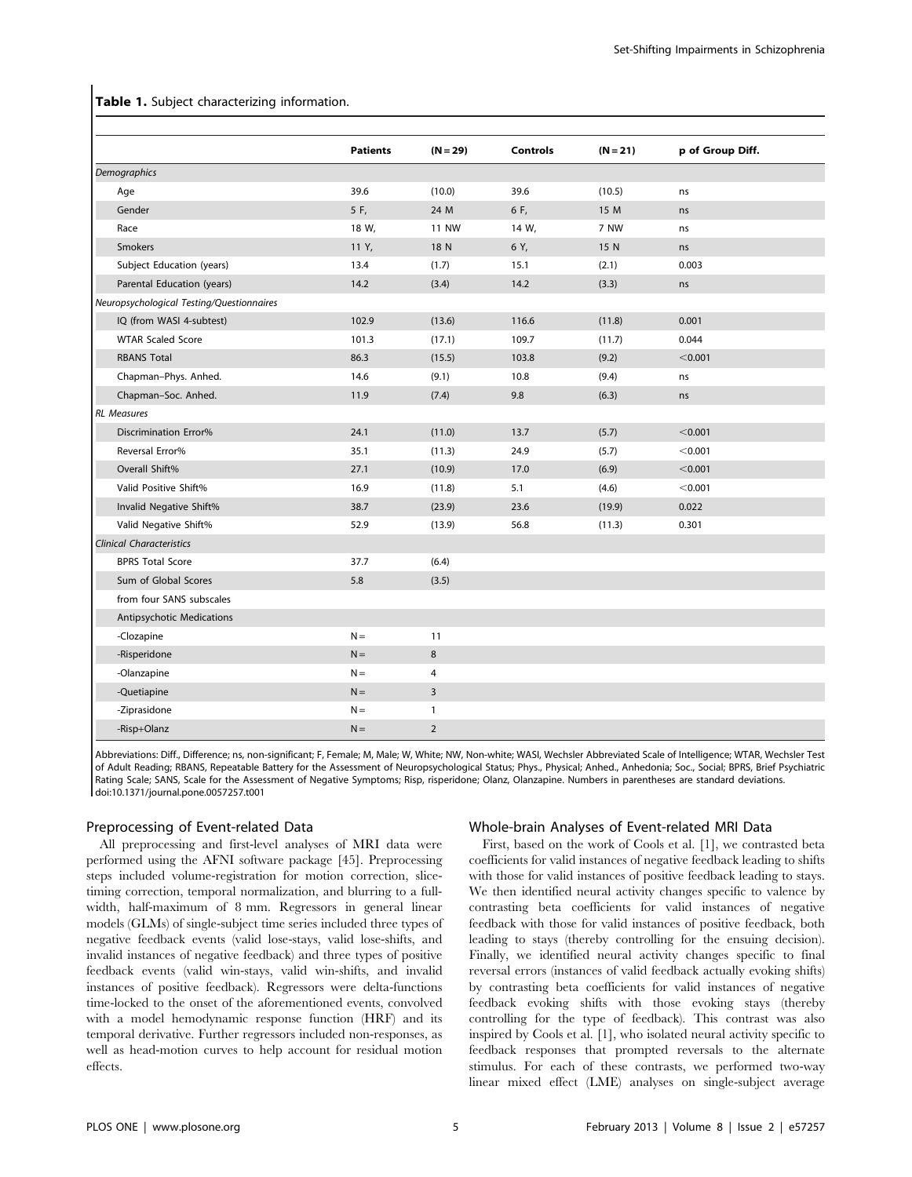## Table 1. Subject characterizing information.

|                                           | <b>Patients</b> | $(N = 29)$     | <b>Controls</b> | $(N = 21)$ | p of Group Diff. |
|-------------------------------------------|-----------------|----------------|-----------------|------------|------------------|
| <b>Demographics</b>                       |                 |                |                 |            |                  |
| Age                                       | 39.6            | (10.0)         | 39.6            | (10.5)     | ns               |
| Gender                                    | 5 F,            | 24 M           | 6 F,            | 15 M       | ns               |
| Race                                      | 18 W,           | <b>11 NW</b>   | 14 W,           | 7 NW       | ns               |
| Smokers                                   | 11 Y,           | 18 N           | 6 Y,            | 15 N       | ns               |
| Subject Education (years)                 | 13.4            | (1.7)          | 15.1            | (2.1)      | 0.003            |
| Parental Education (years)                | 14.2            | (3.4)          | 14.2            | (3.3)      | ns               |
| Neuropsychological Testing/Questionnaires |                 |                |                 |            |                  |
| IQ (from WASI 4-subtest)                  | 102.9           | (13.6)         | 116.6           | (11.8)     | 0.001            |
| <b>WTAR Scaled Score</b>                  | 101.3           | (17.1)         | 109.7           | (11.7)     | 0.044            |
| <b>RBANS Total</b>                        | 86.3            | (15.5)         | 103.8           | (9.2)      | < 0.001          |
| Chapman-Phys. Anhed.                      | 14.6            | (9.1)          | 10.8            | (9.4)      | ns               |
| Chapman-Soc. Anhed.                       | 11.9            | (7.4)          | 9.8             | (6.3)      | ns               |
| <b>RL</b> Measures                        |                 |                |                 |            |                  |
| <b>Discrimination Error%</b>              | 24.1            | (11.0)         | 13.7            | (5.7)      | < 0.001          |
| Reversal Error%                           | 35.1            | (11.3)         | 24.9            | (5.7)      | < 0.001          |
| Overall Shift%                            | 27.1            | (10.9)         | 17.0            | (6.9)      | < 0.001          |
| Valid Positive Shift%                     | 16.9            | (11.8)         | 5.1             | (4.6)      | < 0.001          |
| Invalid Negative Shift%                   | 38.7            | (23.9)         | 23.6            | (19.9)     | 0.022            |
| Valid Negative Shift%                     | 52.9            | (13.9)         | 56.8            | (11.3)     | 0.301            |
| <b>Clinical Characteristics</b>           |                 |                |                 |            |                  |
| <b>BPRS Total Score</b>                   | 37.7            | (6.4)          |                 |            |                  |
| Sum of Global Scores                      | 5.8             | (3.5)          |                 |            |                  |
| from four SANS subscales                  |                 |                |                 |            |                  |
| Antipsychotic Medications                 |                 |                |                 |            |                  |
| -Clozapine                                | $N =$           | 11             |                 |            |                  |
| -Risperidone                              | $N =$           | 8              |                 |            |                  |
| -Olanzapine                               | $N =$           | 4              |                 |            |                  |
| -Quetiapine                               | $N =$           | $\overline{3}$ |                 |            |                  |
| -Ziprasidone                              | $N =$           | $\mathbf{1}$   |                 |            |                  |
| -Risp+Olanz                               | $N =$           | $\overline{2}$ |                 |            |                  |
|                                           |                 |                |                 |            |                  |

Abbreviations: Diff., Difference; ns, non-significant; F, Female; M, Male; W, White; NW, Non-white; WASI, Wechsler Abbreviated Scale of Intelligence; WTAR, Wechsler Test of Adult Reading; RBANS, Repeatable Battery for the Assessment of Neuropsychological Status; Phys., Physical; Anhed., Anhedonia; Soc., Social; BPRS, Brief Psychiatric Rating Scale; SANS, Scale for the Assessment of Negative Symptoms; Risp, risperidone; Olanz, Olanzapine. Numbers in parentheses are standard deviations. doi:10.1371/journal.pone.0057257.t001

# Preprocessing of Event-related Data

All preprocessing and first-level analyses of MRI data were performed using the AFNI software package [45]. Preprocessing steps included volume-registration for motion correction, slicetiming correction, temporal normalization, and blurring to a fullwidth, half-maximum of 8 mm. Regressors in general linear models (GLMs) of single-subject time series included three types of negative feedback events (valid lose-stays, valid lose-shifts, and invalid instances of negative feedback) and three types of positive feedback events (valid win-stays, valid win-shifts, and invalid instances of positive feedback). Regressors were delta-functions time-locked to the onset of the aforementioned events, convolved with a model hemodynamic response function (HRF) and its temporal derivative. Further regressors included non-responses, as well as head-motion curves to help account for residual motion effects.

## Whole-brain Analyses of Event-related MRI Data

First, based on the work of Cools et al. [1], we contrasted beta coefficients for valid instances of negative feedback leading to shifts with those for valid instances of positive feedback leading to stays. We then identified neural activity changes specific to valence by contrasting beta coefficients for valid instances of negative feedback with those for valid instances of positive feedback, both leading to stays (thereby controlling for the ensuing decision). Finally, we identified neural activity changes specific to final reversal errors (instances of valid feedback actually evoking shifts) by contrasting beta coefficients for valid instances of negative feedback evoking shifts with those evoking stays (thereby controlling for the type of feedback). This contrast was also inspired by Cools et al. [1], who isolated neural activity specific to feedback responses that prompted reversals to the alternate stimulus. For each of these contrasts, we performed two-way linear mixed effect (LME) analyses on single-subject average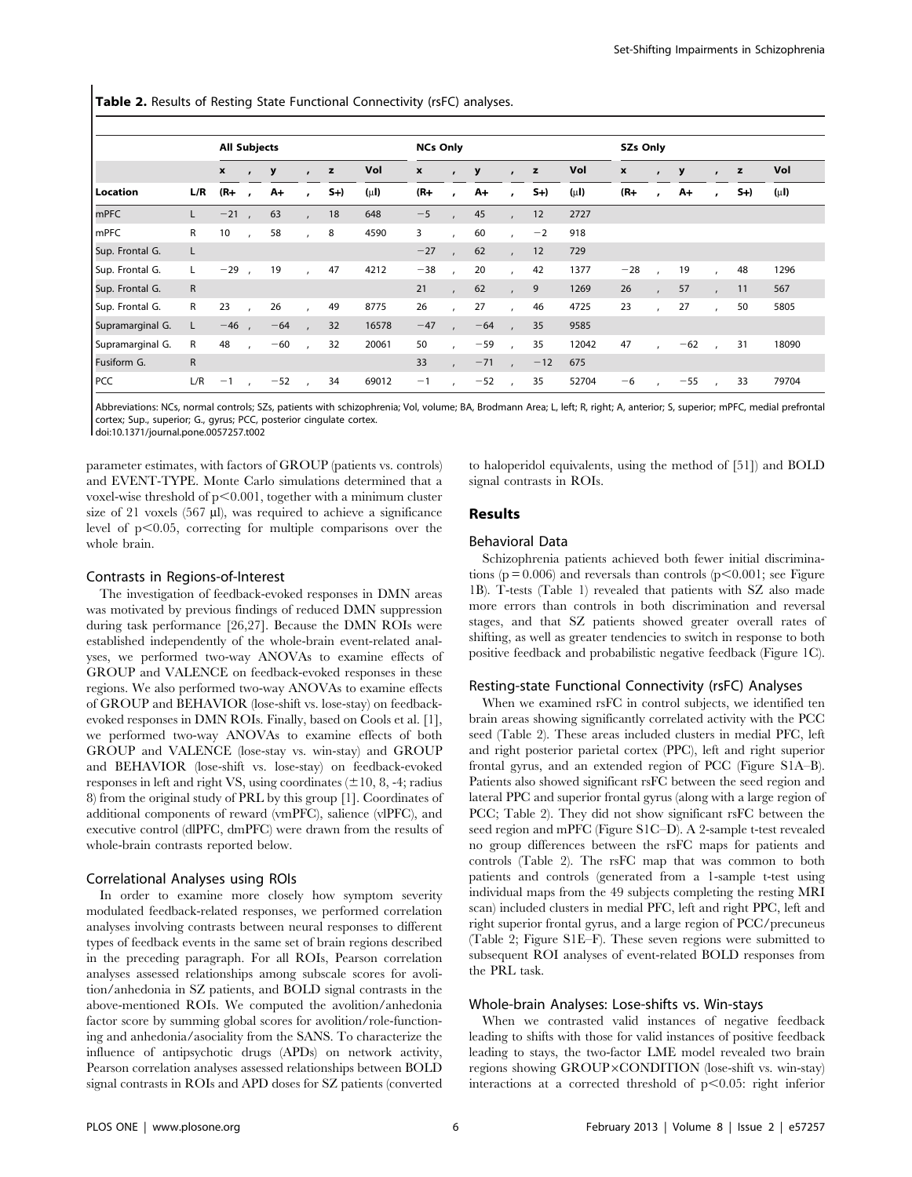Table 2. Results of Resting State Functional Connectivity (rsFC) analyses.

|                  |              | <b>All Subjects</b> |                          |       |                |      |           | <b>NCs Only</b> |              |       |              |       |           | <b>SZs Only</b> |           |       |              |      |           |
|------------------|--------------|---------------------|--------------------------|-------|----------------|------|-----------|-----------------|--------------|-------|--------------|-------|-----------|-----------------|-----------|-------|--------------|------|-----------|
|                  |              | $\boldsymbol{x}$    | $\cdot$                  | y     | $\mathbf{r}$   | z    | Vol       | x               | $\mathbf{r}$ | y     | $\mathbf{r}$ | z     | Vol       | x               |           | y     | $\mathbf{r}$ | z    | Vol       |
| Location         | L/R          | $(R+$               |                          | A+    | $\cdot$        | $S+$ | $(\mu I)$ | $(R-$           | $\mathbf{r}$ | A+    | $\mathbf{r}$ | $S+$  | $(\mu I)$ | $(R+$           |           | $A+$  | $\cdot$      | $S+$ | $(\mu I)$ |
| <b>mPFC</b>      | L            | $-21$               |                          | 63    | $\lambda$      | 18   | 648       | $-5$            |              | 45    |              | 12    | 2727      |                 |           |       |              |      |           |
| mPFC             | R            | 10                  | $\cdot$                  | 58    | $\mathbf{r}$   | 8    | 4590      | 3               |              | 60    | $\epsilon$   | $-2$  | 918       |                 |           |       |              |      |           |
| Sup. Frontal G.  | L            |                     |                          |       |                |      |           | $-27$           |              | 62    | $\mathbf{r}$ | 12    | 729       |                 |           |       |              |      |           |
| Sup. Frontal G.  | Г            | $-29$               |                          | 19    | $\overline{ }$ | 47   | 4212      | $-38$           |              | 20    |              | 42    | 1377      | $-28$           |           | 19    |              | 48   | 1296      |
| Sup. Frontal G.  | $\mathsf{R}$ |                     |                          |       |                |      |           | 21              | $\mathbf{r}$ | 62    |              | 9     | 1269      | 26              | $\lambda$ | 57    |              | 11   | 567       |
| Sup. Frontal G.  | R            | 23                  | $\overline{\phantom{a}}$ | 26    | $\mathbf{r}$   | 49   | 8775      | 26              |              | 27    | $\epsilon$   | 46    | 4725      | 23              | $\lambda$ | 27    | $\lambda$    | 50   | 5805      |
| Supramarginal G. | L            | $-46$               |                          | $-64$ | $\overline{ }$ | 32   | 16578     | $-47$           |              | $-64$ |              | 35    | 9585      |                 |           |       |              |      |           |
| Supramarginal G. | R            | 48                  | $\lambda$                | $-60$ | $\overline{ }$ | 32   | 20061     | 50              |              | $-59$ |              | 35    | 12042     | 47              |           | $-62$ |              | 31   | 18090     |
| Fusiform G.      | ${\sf R}$    |                     |                          |       |                |      |           | 33              |              | $-71$ |              | $-12$ | 675       |                 |           |       |              |      |           |
| <b>PCC</b>       | L/R          | $-1$                |                          | $-52$ | $\overline{ }$ | 34   | 69012     | $-1$            |              | $-52$ |              | 35    | 52704     | $-6$            |           | $-55$ |              | 33   | 79704     |

Abbreviations: NCs, normal controls; SZs, patients with schizophrenia; Vol, volume; BA, Brodmann Area; L, left; R, right; A, anterior; S, superior; mPFC, medial prefrontal cortex; Sup., superior; G., gyrus; PCC, posterior cingulate cortex.

doi:10.1371/journal.pone.0057257.t002

parameter estimates, with factors of GROUP (patients vs. controls) and EVENT-TYPE. Monte Carlo simulations determined that a voxel-wise threshold of  $p<0.001$ , together with a minimum cluster size of 21 voxels  $(567 \mu l)$ , was required to achieve a significance level of  $p<0.05$ , correcting for multiple comparisons over the whole brain.

#### Contrasts in Regions-of-Interest

The investigation of feedback-evoked responses in DMN areas was motivated by previous findings of reduced DMN suppression during task performance [26,27]. Because the DMN ROIs were established independently of the whole-brain event-related analyses, we performed two-way ANOVAs to examine effects of GROUP and VALENCE on feedback-evoked responses in these regions. We also performed two-way ANOVAs to examine effects of GROUP and BEHAVIOR (lose-shift vs. lose-stay) on feedbackevoked responses in DMN ROIs. Finally, based on Cools et al. [1], we performed two-way ANOVAs to examine effects of both GROUP and VALENCE (lose-stay vs. win-stay) and GROUP and BEHAVIOR (lose-shift vs. lose-stay) on feedback-evoked responses in left and right VS, using coordinates  $(\pm 10, 8, -4;$  radius 8) from the original study of PRL by this group [1]. Coordinates of additional components of reward (vmPFC), salience (vlPFC), and executive control (dlPFC, dmPFC) were drawn from the results of whole-brain contrasts reported below.

#### Correlational Analyses using ROIs

In order to examine more closely how symptom severity modulated feedback-related responses, we performed correlation analyses involving contrasts between neural responses to different types of feedback events in the same set of brain regions described in the preceding paragraph. For all ROIs, Pearson correlation analyses assessed relationships among subscale scores for avolition/anhedonia in SZ patients, and BOLD signal contrasts in the above-mentioned ROIs. We computed the avolition/anhedonia factor score by summing global scores for avolition/role-functioning and anhedonia/asociality from the SANS. To characterize the influence of antipsychotic drugs (APDs) on network activity, Pearson correlation analyses assessed relationships between BOLD signal contrasts in ROIs and APD doses for SZ patients (converted to haloperidol equivalents, using the method of [51]) and BOLD signal contrasts in ROIs.

# Results

# Behavioral Data

Schizophrenia patients achieved both fewer initial discriminations ( $p = 0.006$ ) and reversals than controls ( $p < 0.001$ ; see Figure 1B). T-tests (Table 1) revealed that patients with SZ also made more errors than controls in both discrimination and reversal stages, and that SZ patients showed greater overall rates of shifting, as well as greater tendencies to switch in response to both positive feedback and probabilistic negative feedback (Figure 1C).

#### Resting-state Functional Connectivity (rsFC) Analyses

When we examined rsFC in control subjects, we identified ten brain areas showing significantly correlated activity with the PCC seed (Table 2). These areas included clusters in medial PFC, left and right posterior parietal cortex (PPC), left and right superior frontal gyrus, and an extended region of PCC (Figure S1A–B). Patients also showed significant rsFC between the seed region and lateral PPC and superior frontal gyrus (along with a large region of PCC; Table 2). They did not show significant rsFC between the seed region and mPFC (Figure S1C–D). A 2-sample t-test revealed no group differences between the rsFC maps for patients and controls (Table 2). The rsFC map that was common to both patients and controls (generated from a 1-sample t-test using individual maps from the 49 subjects completing the resting MRI scan) included clusters in medial PFC, left and right PPC, left and right superior frontal gyrus, and a large region of PCC/precuneus (Table 2; Figure S1E–F). These seven regions were submitted to subsequent ROI analyses of event-related BOLD responses from the PRL task.

## Whole-brain Analyses: Lose-shifts vs. Win-stays

When we contrasted valid instances of negative feedback leading to shifts with those for valid instances of positive feedback leading to stays, the two-factor LME model revealed two brain regions showing GROUP×CONDITION (lose-shift vs. win-stay) interactions at a corrected threshold of  $p<0.05$ : right inferior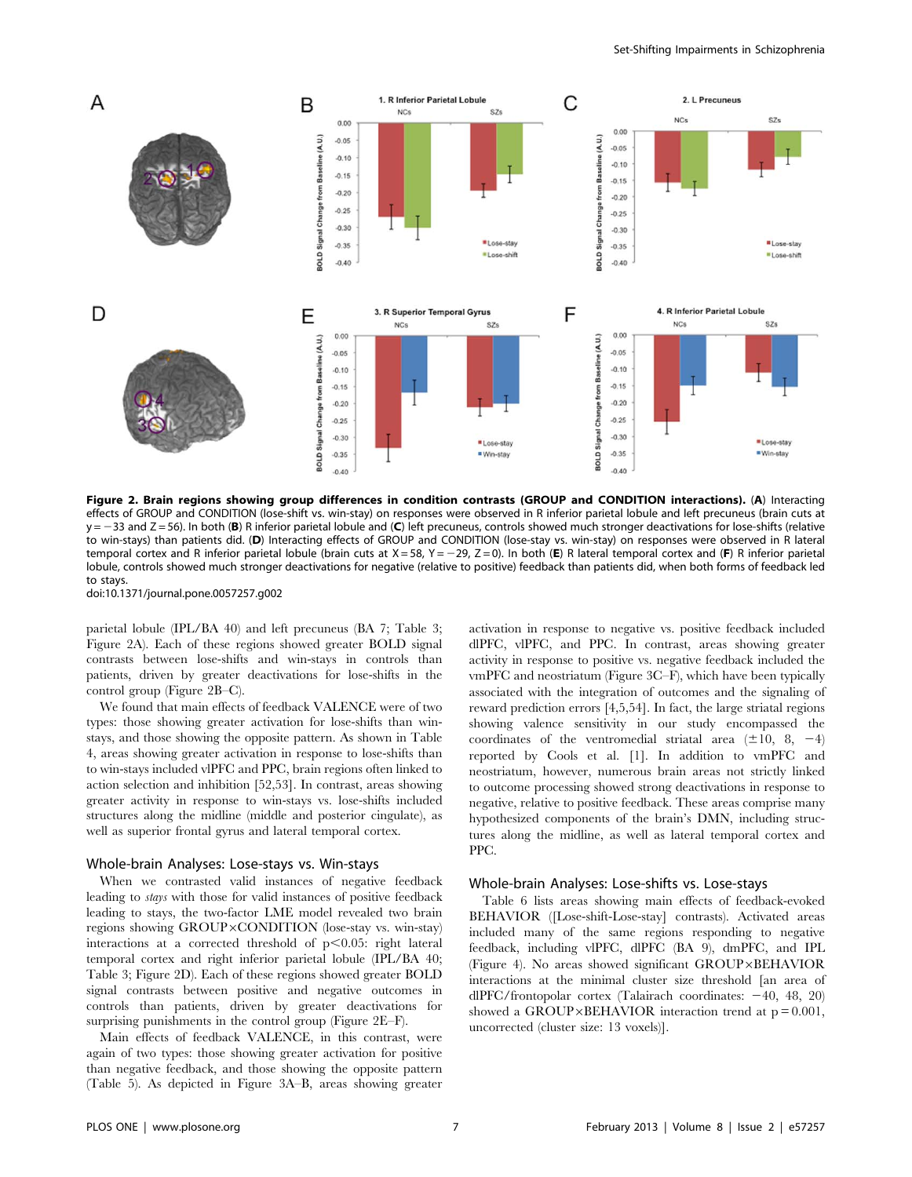

Figure 2. Brain regions showing group differences in condition contrasts (GROUP and CONDITION interactions). (A) Interacting effects of GROUP and CONDITION (lose-shift vs. win-stay) on responses were observed in R inferior parietal lobule and left precuneus (brain cuts at  $y = -33$  and Z = 56). In both (B) R inferior parietal lobule and (C) left precuneus, controls showed much stronger deactivations for lose-shifts (relative to win-stays) than patients did. (D) Interacting effects of GROUP and CONDITION (lose-stay vs. win-stay) on responses were observed in R lateral temporal cortex and R inferior parietal lobule (brain cuts at  $X = 58$ ,  $Y = -29$ ,  $Z = 0$ ). In both (E) R lateral temporal cortex and (F) R inferior parietal lobule, controls showed much stronger deactivations for negative (relative to positive) feedback than patients did, when both forms of feedback led to stays.

doi:10.1371/journal.pone.0057257.g002

parietal lobule (IPL/BA 40) and left precuneus (BA 7; Table 3; Figure 2A). Each of these regions showed greater BOLD signal contrasts between lose-shifts and win-stays in controls than patients, driven by greater deactivations for lose-shifts in the control group (Figure 2B–C).

We found that main effects of feedback VALENCE were of two types: those showing greater activation for lose-shifts than winstays, and those showing the opposite pattern. As shown in Table 4, areas showing greater activation in response to lose-shifts than to win-stays included vlPFC and PPC, brain regions often linked to action selection and inhibition [52,53]. In contrast, areas showing greater activity in response to win-stays vs. lose-shifts included structures along the midline (middle and posterior cingulate), as well as superior frontal gyrus and lateral temporal cortex.

#### Whole-brain Analyses: Lose-stays vs. Win-stays

When we contrasted valid instances of negative feedback leading to stays with those for valid instances of positive feedback leading to stays, the two-factor LME model revealed two brain regions showing  $GROUP \times COMPITION$  (lose-stay vs. win-stay) interactions at a corrected threshold of  $p<0.05$ : right lateral temporal cortex and right inferior parietal lobule (IPL/BA 40; Table 3; Figure 2D). Each of these regions showed greater BOLD signal contrasts between positive and negative outcomes in controls than patients, driven by greater deactivations for surprising punishments in the control group (Figure 2E–F).

Main effects of feedback VALENCE, in this contrast, were again of two types: those showing greater activation for positive than negative feedback, and those showing the opposite pattern (Table 5). As depicted in Figure 3A–B, areas showing greater

activation in response to negative vs. positive feedback included dlPFC, vlPFC, and PPC. In contrast, areas showing greater activity in response to positive vs. negative feedback included the vmPFC and neostriatum (Figure 3C–F), which have been typically associated with the integration of outcomes and the signaling of reward prediction errors [4,5,54]. In fact, the large striatal regions showing valence sensitivity in our study encompassed the coordinates of the ventromedial striatal area  $(\pm 10, 8, -4)$ reported by Cools et al. [1]. In addition to vmPFC and neostriatum, however, numerous brain areas not strictly linked to outcome processing showed strong deactivations in response to negative, relative to positive feedback. These areas comprise many hypothesized components of the brain's DMN, including structures along the midline, as well as lateral temporal cortex and PPC.

#### Whole-brain Analyses: Lose-shifts vs. Lose-stays

Table 6 lists areas showing main effects of feedback-evoked BEHAVIOR ([Lose-shift-Lose-stay] contrasts). Activated areas included many of the same regions responding to negative feedback, including vlPFC, dlPFC (BA 9), dmPFC, and IPL (Figure 4). No areas showed significant GROUP×BEHAVIOR interactions at the minimal cluster size threshold [an area of dlPFC/frontopolar cortex (Talairach coordinates:  $-40$ , 48, 20) showed a GROUP×BEHAVIOR interaction trend at  $p = 0.001$ , uncorrected (cluster size: 13 voxels)].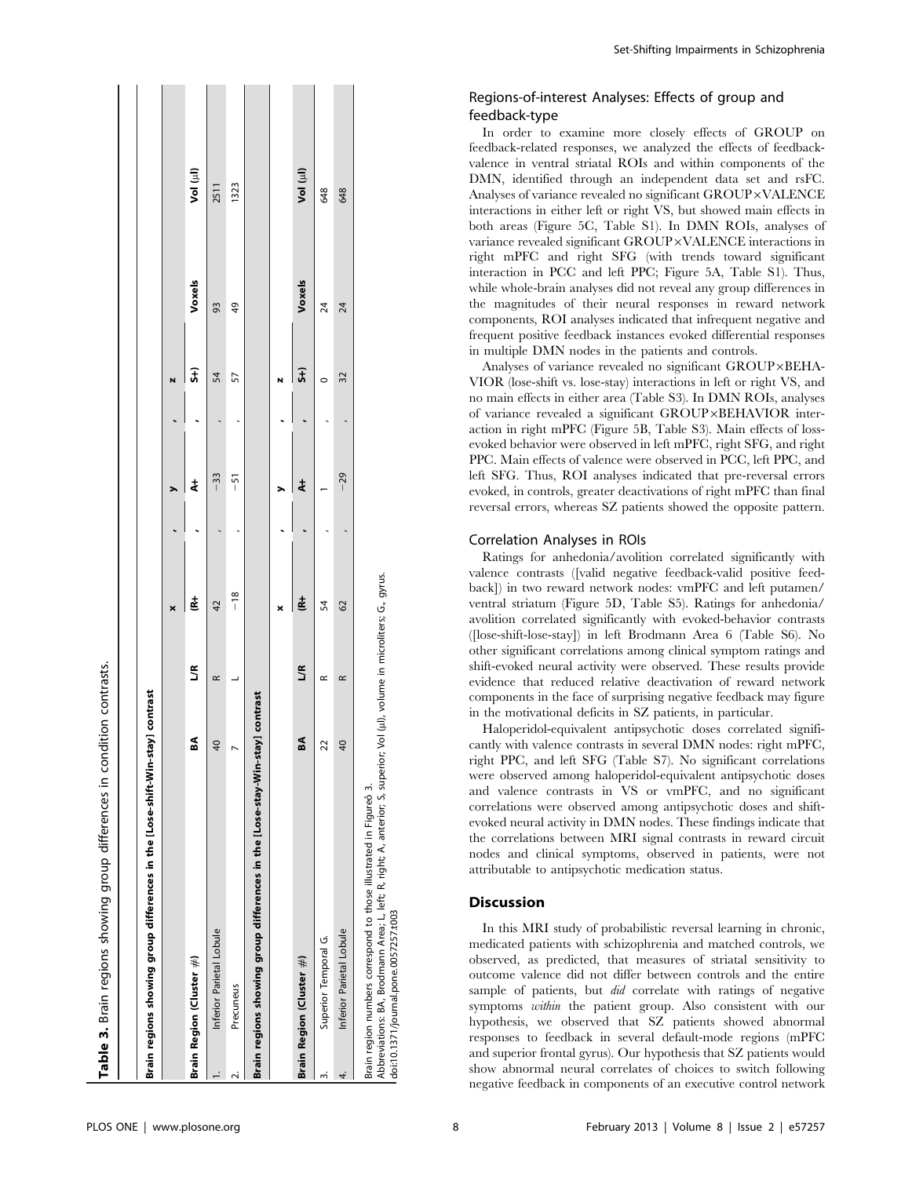| Brain regions showing group differences in the [Lose-shift-Win-stay] contrast                                                                                                                                                             |                 |           |       |               |    |        |          |
|-------------------------------------------------------------------------------------------------------------------------------------------------------------------------------------------------------------------------------------------|-----------------|-----------|-------|---------------|----|--------|----------|
|                                                                                                                                                                                                                                           |                 |           | ×     |               | N  |        |          |
| Brain Region (Cluster $\#$ )                                                                                                                                                                                                              | SA              | S         | Ė     | $\frac{1}{4}$ | Ĵ, | Voxels | Vol (ul) |
| Inferior Parietal Lobule                                                                                                                                                                                                                  | $\overline{0}$  | $\approx$ | 42    | $-33$         | 54 | 93     | 2511     |
| Precuneus<br>2.                                                                                                                                                                                                                           |                 |           | $-18$ | $-51$         | 57 | 49     | 1323     |
| Brain regions showing group differences in the [Lose-stay-Win-stay] contrast                                                                                                                                                              |                 |           |       |               |    |        |          |
|                                                                                                                                                                                                                                           |                 |           | ×     |               |    |        |          |
| Brain Region (Cluster #)                                                                                                                                                                                                                  | SA              | ĽR        | ġ     | $\frac{1}{4}$ | J  | Voxels | Vol (ul) |
| Superior Temporal G.<br>ო                                                                                                                                                                                                                 | 22              | $\approx$ | 54    |               |    | 24     | 648      |
| Inferior Parietal Lobule<br>4.                                                                                                                                                                                                            | $\overline{40}$ | $\propto$ | 62    | $-29$         | 32 | 24     | 648      |
| Abbreviations: BA, Brodmann Area; L, left; R, right; A, anterior; S, superior; Vol (µl), volume in microliters; G., gyrus.<br>Brain region numbers correspond to those illustrated in Figureo 3.<br>doi:10.1371/journal.pone.0057257.t003 |                 |           |       |               |    |        |          |

Set-Shifting Impairments in Schizophrenia

# Regions-of-interest Analyses: Effects of group and feedback-type

In order to examine more closely effects of GROUP on feedback-related responses, we analyzed the effects of feedbackvalence in ventral striatal ROIs and within components of the DMN, identified through an independent data set and rsFC. Analyses of variance revealed no significant GROUP×VALENCE interactions in either left or right VS, but showed main effects in both areas (Figure 5C, Table S1). In DMN ROIs, analyses of variance revealed significant GROUP×VALENCE interactions in right mPFC and right SFG (with trends toward significant interaction in PCC and left PPC; Figure 5A, Table S1). Thus, while whole-brain analyses did not reveal any group differences in the magnitudes of their neural responses in reward network components, ROI analyses indicated that infrequent negative and frequent positive feedback instances evoked differential responses in multiple DMN nodes in the patients and controls.

Analyses of variance revealed no significant GROUP×BEHA-VIOR (lose-shift vs. lose-stay) interactions in left or right VS, and no main effects in either area (Table S3). In DMN ROIs, analyses of variance revealed a significant GROUP×BEHAVIOR interaction in right mPFC (Figure 5B, Table S3). Main effects of lossevoked behavior were observed in left mPFC, right SFG, and right PPC. Main effects of valence were observed in PCC, left PPC, and left SFG. Thus, ROI analyses indicated that pre-reversal errors evoked, in controls, greater deactivations of right mPFC than final reversal errors, whereas SZ patients showed the opposite pattern.

# Correlation Analyses in ROIs

Ratings for anhedonia/avolition correlated significantly with valence contrasts ([valid negative feedback-valid positive feedback]) in two reward network nodes: vmPFC and left putamen/ ventral striatum (Figure 5D, Table S5). Ratings for anhedonia/ avolition correlated significantly with evoked-behavior contrasts ([lose-shift-lose-stay]) in left Brodmann Area 6 (Table S6). No other significant correlations among clinical symptom ratings and shift-evoked neural activity were observed. These results provide evidence that reduced relative deactivation of reward network components in the face of surprising negative feedback may figure in the motivational deficits in SZ patients, in particular.

Haloperidol-equivalent antipsychotic doses correlated significantly with valence contrasts in several DMN nodes: right mPFC, right PPC, and left SFG (Table S7). No significant correlations were observed among haloperidol-equivalent antipsychotic doses and valence contrasts in VS or vmPFC, and no significant correlations were observed among antipsychotic doses and shiftevoked neural activity in DMN nodes. These findings indicate that the correlations between MRI signal contrasts in reward circuit nodes and clinical symptoms, observed in patients, were not attributable to antipsychotic medication status.

# Discussion

In this MRI study of probabilistic reversal learning in chronic, medicated patients with schizophrenia and matched controls, we observed, as predicted, that measures of striatal sensitivity to outcome valence did not differ between controls and the entire sample of patients, but did correlate with ratings of negative symptoms within the patient group. Also consistent with our hypothesis, we observed that SZ patients showed abnormal responses to feedback in several default-mode regions (mPFC and superior frontal gyrus). Our hypothesis that SZ patients would show abnormal neural correlates of choices to switch following negative feedback in components of an executive control network

Table 3. Brain regions showing group differences in condition contrasts.

Table 3. Brain regions showing group differences in condition contrasts.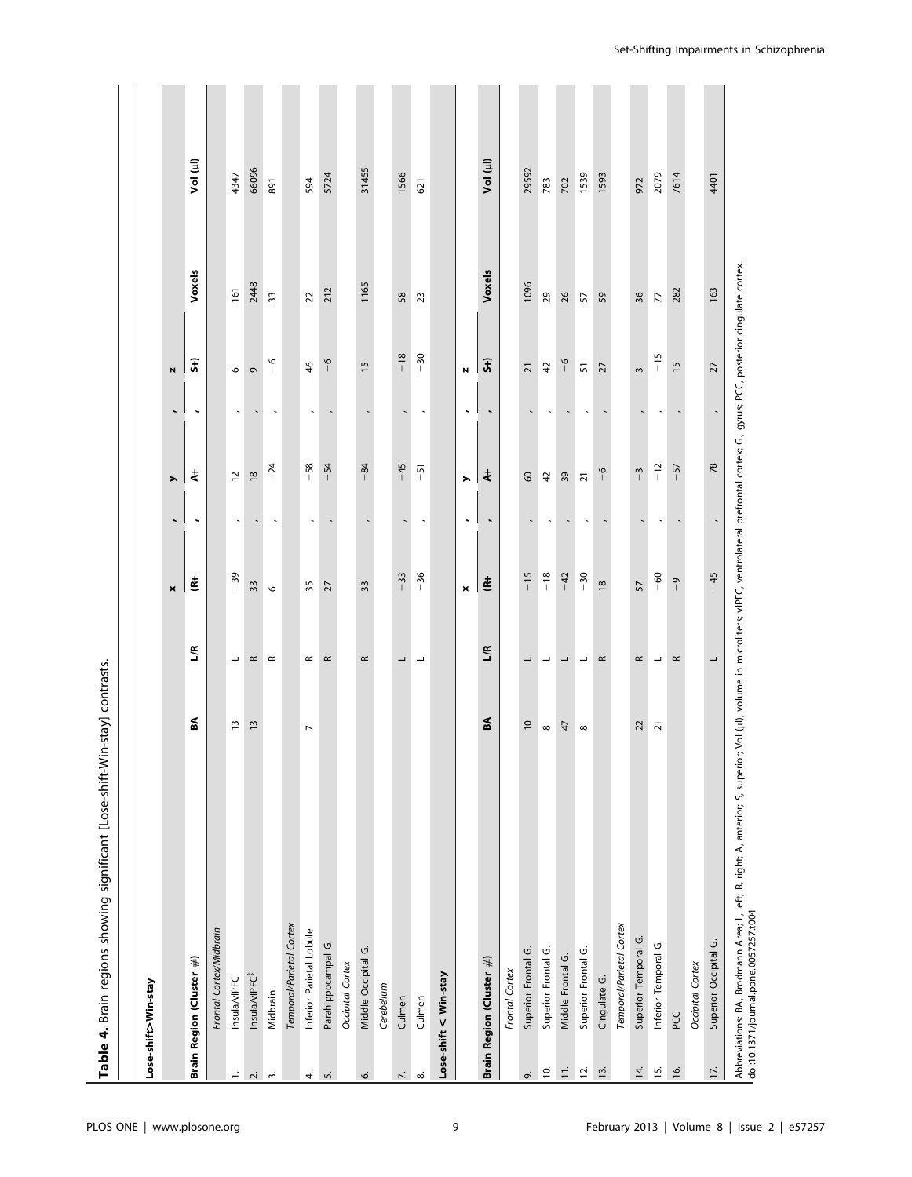|                    | Table 4. Brain regions showing significant [Lose-shift-Win-stay] contrasts.                                             |                 |                          |                                                                                                                     |                          |                     |                          |                 |                |          |
|--------------------|-------------------------------------------------------------------------------------------------------------------------|-----------------|--------------------------|---------------------------------------------------------------------------------------------------------------------|--------------------------|---------------------|--------------------------|-----------------|----------------|----------|
|                    |                                                                                                                         |                 |                          |                                                                                                                     |                          |                     |                          |                 |                |          |
|                    | Lose-shift>Win-stay                                                                                                     |                 |                          |                                                                                                                     |                          |                     |                          |                 |                |          |
|                    |                                                                                                                         |                 |                          | $\pmb{\times}$                                                                                                      | $\blacksquare$           | ⋋                   | $\overline{\phantom{a}}$ | N               |                |          |
|                    | Brain Region (Cluster #)                                                                                                | SA              | ĽR                       | Ė                                                                                                                   | $\blacksquare$           | ŧ                   | $\blacksquare$           | $\widehat{J}$   | Voxels         | Vol (µl) |
|                    | Frontal Cortex/Midbrain                                                                                                 |                 |                          |                                                                                                                     |                          |                     |                          |                 |                |          |
| $\vec{r}$          | Insula/vIPFC                                                                                                            | $\overline{1}$  | $\overline{\phantom{a}}$ | $-39$                                                                                                               |                          | $\overline{c}$      |                          | $\circ$         | 161            | 4347     |
| $\mathbf{r}$       | Insula/vIPFC <sup>#</sup>                                                                                               | $\overline{13}$ | $\simeq$                 | 33                                                                                                                  |                          | $\overline{18}$     |                          | G               | 2448           | 66096    |
| $\sim$             | Midbrain                                                                                                                |                 | $\propto$                | $\circ$                                                                                                             | $\overline{\phantom{a}}$ | $-24$               | $\tilde{}$               | $\overline{6}$  | 33             | 891      |
|                    | Temporal/Parietal Cortex                                                                                                |                 |                          |                                                                                                                     |                          |                     |                          |                 |                |          |
|                    | $\overline{\phantom{a}}$<br>Inferior Parietal Lobule                                                                    |                 | $\simeq$                 | 35                                                                                                                  | $\ddot{\phantom{0}}$     | $-58$               | $\overline{\phantom{a}}$ | $\frac{4}{6}$   | $\overline{2}$ | 594      |
| 4.5                | Parahippocampal G.                                                                                                      |                 | $\simeq$                 | $\overline{27}$                                                                                                     |                          | $-54$               |                          | $\frac{6}{1}$   | 212            | 5724     |
|                    | Occipital Cortex                                                                                                        |                 |                          |                                                                                                                     |                          |                     |                          |                 |                |          |
| o                  | Middle Occipital G.                                                                                                     |                 | $\simeq$                 | 33                                                                                                                  |                          | $-84$               |                          | $\overline{1}$  | 1165           | 31455    |
|                    | Cerebellum                                                                                                              |                 |                          |                                                                                                                     |                          |                     |                          |                 |                |          |
| $\overline{\sim}$  | Culmen                                                                                                                  |                 | $\overline{\phantom{0}}$ | $-33$                                                                                                               |                          | $-45$               | $\overline{\phantom{a}}$ | $-18$           | 58             | 1566     |
| $\infty$           | Culmen                                                                                                                  |                 | $\overline{\phantom{a}}$ | $-36$                                                                                                               | $\overline{\phantom{a}}$ | $-51$               | $\ddot{\phantom{0}}$     | $-30$           | 23             | 621      |
|                    | Lose-shift < Win-stay                                                                                                   |                 |                          |                                                                                                                     |                          |                     |                          |                 |                |          |
|                    |                                                                                                                         |                 |                          | $\pmb{\times}$                                                                                                      | $\ddot{\phantom{0}}$     | ⋋                   | $\ddot{\phantom{0}}$     | N               |                |          |
|                    | Brain Region (Cluster $\#$ )                                                                                            | SA              | ĽR                       | Ē                                                                                                                   |                          | ŧ                   | $\ddot{\phantom{0}}$     | $\widehat{5}$   | Voxels         | Vol (µl) |
|                    | Frontal Cortex                                                                                                          |                 |                          |                                                                                                                     |                          |                     |                          |                 |                |          |
| o,                 | Superior Frontal G.                                                                                                     | $\overline{c}$  |                          | $-15$                                                                                                               |                          | $\pmb{\mathcal{S}}$ |                          | $\overline{21}$ | 1096           | 29592    |
| $\bar{\mathsf{o}}$ | $\infty$<br>Superior Frontal G.                                                                                         |                 | ┙                        | $-18$                                                                                                               |                          | $\overline{a}$      |                          | $42$            | 29             | 783      |
| $\stackrel{.}{=}$  | Middle Frontal G.                                                                                                       | 47              | ┙                        | $-42$                                                                                                               |                          | 39                  |                          | $\frac{6}{1}$   | 26             | 702      |
| $\bar{5}$          | $\infty$<br>Superior Frontal G.                                                                                         |                 | $\overline{\phantom{0}}$ | $-30$                                                                                                               |                          | $\overline{21}$     |                          | $\overline{5}$  | 57             | 1539     |
| $\overline{13}$ .  | Cingulate G.                                                                                                            |                 | $\propto$                | $\frac{8}{2}$                                                                                                       |                          | $\frac{6}{1}$       |                          | 27              | 59             | 1593     |
|                    | Temporal/Parietal Cortex                                                                                                |                 |                          |                                                                                                                     |                          |                     |                          |                 |                |          |
| $\overline{4}$ .   | Superior Temporal G.                                                                                                    | $\overline{c}$  | $\simeq$                 | 57                                                                                                                  |                          | $-3$                |                          | $\sim$          | 36             | 972      |
| $15.$              | Inferior Temporal G.                                                                                                    | $\overline{2}$  | ┙                        | $-60$                                                                                                               |                          | $-12$               |                          | $-15$           | 77             | 2079     |
| $\overline{6}$     | PCC                                                                                                                     |                 | $\simeq$                 | $\overline{0}$                                                                                                      |                          | $-57$               |                          | $\frac{5}{2}$   | 282            | 7614     |
|                    | Occipital Cortex                                                                                                        |                 |                          |                                                                                                                     |                          |                     |                          |                 |                |          |
| 17.                | Superior Occipital G.                                                                                                   |                 | ┙                        | $-45$                                                                                                               |                          | $-78$               |                          | 27              | 163            | 4401     |
|                    | Abbreviations: BA, Brodmann Area; L, left; R, right; A, anterior; S, superior;<br>doi:10.1371/journal.pone.0057257.t004 |                 |                          | Vol (ul), volume in microliters; vIPFC, ventrolateral prefrontal cortex; G., gyrus; PCC, posterior cingulate cortex |                          |                     |                          |                 |                |          |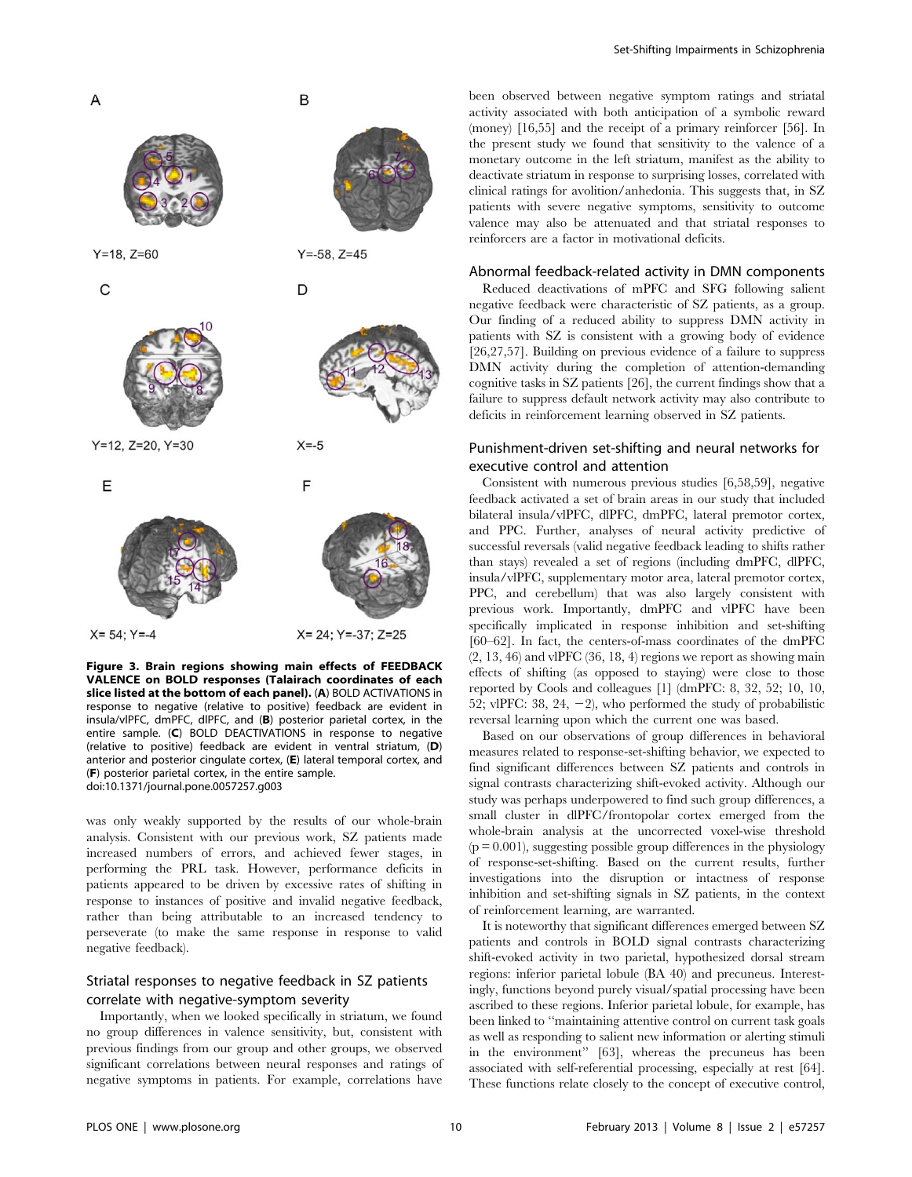



 $Y=18. Z=60$ 

 $\mathsf{C}$ 

E



 $Y=12$ ,  $Z=20$ ,  $Y=30$ 



D

B

 $Y = -58$ .  $Z = 45$ 



Figure 3. Brain regions showing main effects of FEEDBACK VALENCE on BOLD responses (Talairach coordinates of each slice listed at the bottom of each panel). (A) BOLD ACTIVATIONS in response to negative (relative to positive) feedback are evident in insula/vlPFC, dmPFC, dlPFC, and (B) posterior parietal cortex, in the entire sample. (C) BOLD DEACTIVATIONS in response to negative (relative to positive) feedback are evident in ventral striatum, (D) anterior and posterior cingulate cortex, (E) lateral temporal cortex, and (F) posterior parietal cortex, in the entire sample. doi:10.1371/journal.pone.0057257.g003

was only weakly supported by the results of our whole-brain analysis. Consistent with our previous work, SZ patients made increased numbers of errors, and achieved fewer stages, in performing the PRL task. However, performance deficits in patients appeared to be driven by excessive rates of shifting in response to instances of positive and invalid negative feedback, rather than being attributable to an increased tendency to perseverate (to make the same response in response to valid negative feedback).

# Striatal responses to negative feedback in SZ patients correlate with negative-symptom severity

Importantly, when we looked specifically in striatum, we found no group differences in valence sensitivity, but, consistent with previous findings from our group and other groups, we observed significant correlations between neural responses and ratings of negative symptoms in patients. For example, correlations have

been observed between negative symptom ratings and striatal activity associated with both anticipation of a symbolic reward (money) [16,55] and the receipt of a primary reinforcer [56]. In the present study we found that sensitivity to the valence of a monetary outcome in the left striatum, manifest as the ability to deactivate striatum in response to surprising losses, correlated with clinical ratings for avolition/anhedonia. This suggests that, in SZ patients with severe negative symptoms, sensitivity to outcome valence may also be attenuated and that striatal responses to reinforcers are a factor in motivational deficits.

# Abnormal feedback-related activity in DMN components

Reduced deactivations of mPFC and SFG following salient negative feedback were characteristic of SZ patients, as a group. Our finding of a reduced ability to suppress DMN activity in patients with SZ is consistent with a growing body of evidence [26,27,57]. Building on previous evidence of a failure to suppress DMN activity during the completion of attention-demanding cognitive tasks in SZ patients [26], the current findings show that a failure to suppress default network activity may also contribute to deficits in reinforcement learning observed in SZ patients.

# Punishment-driven set-shifting and neural networks for executive control and attention

Consistent with numerous previous studies [6,58,59], negative feedback activated a set of brain areas in our study that included bilateral insula/vlPFC, dlPFC, dmPFC, lateral premotor cortex, and PPC. Further, analyses of neural activity predictive of successful reversals (valid negative feedback leading to shifts rather than stays) revealed a set of regions (including dmPFC, dlPFC, insula/vlPFC, supplementary motor area, lateral premotor cortex, PPC, and cerebellum) that was also largely consistent with previous work. Importantly, dmPFC and vlPFC have been specifically implicated in response inhibition and set-shifting [60–62]. In fact, the centers-of-mass coordinates of the dmPFC  $(2, 13, 46)$  and vlPFC  $(36, 18, 4)$  regions we report as showing main effects of shifting (as opposed to staying) were close to those reported by Cools and colleagues [1] (dmPFC: 8, 32, 52; 10, 10, 52; vlPFC: 38, 24,  $-2$ ), who performed the study of probabilistic reversal learning upon which the current one was based.

Based on our observations of group differences in behavioral measures related to response-set-shifting behavior, we expected to find significant differences between SZ patients and controls in signal contrasts characterizing shift-evoked activity. Although our study was perhaps underpowered to find such group differences, a small cluster in dlPFC/frontopolar cortex emerged from the whole-brain analysis at the uncorrected voxel-wise threshold  $(p = 0.001)$ , suggesting possible group differences in the physiology of response-set-shifting. Based on the current results, further investigations into the disruption or intactness of response inhibition and set-shifting signals in SZ patients, in the context of reinforcement learning, are warranted.

It is noteworthy that significant differences emerged between SZ patients and controls in BOLD signal contrasts characterizing shift-evoked activity in two parietal, hypothesized dorsal stream regions: inferior parietal lobule (BA 40) and precuneus. Interestingly, functions beyond purely visual/spatial processing have been ascribed to these regions. Inferior parietal lobule, for example, has been linked to ''maintaining attentive control on current task goals as well as responding to salient new information or alerting stimuli in the environment'' [63], whereas the precuneus has been associated with self-referential processing, especially at rest [64]. These functions relate closely to the concept of executive control,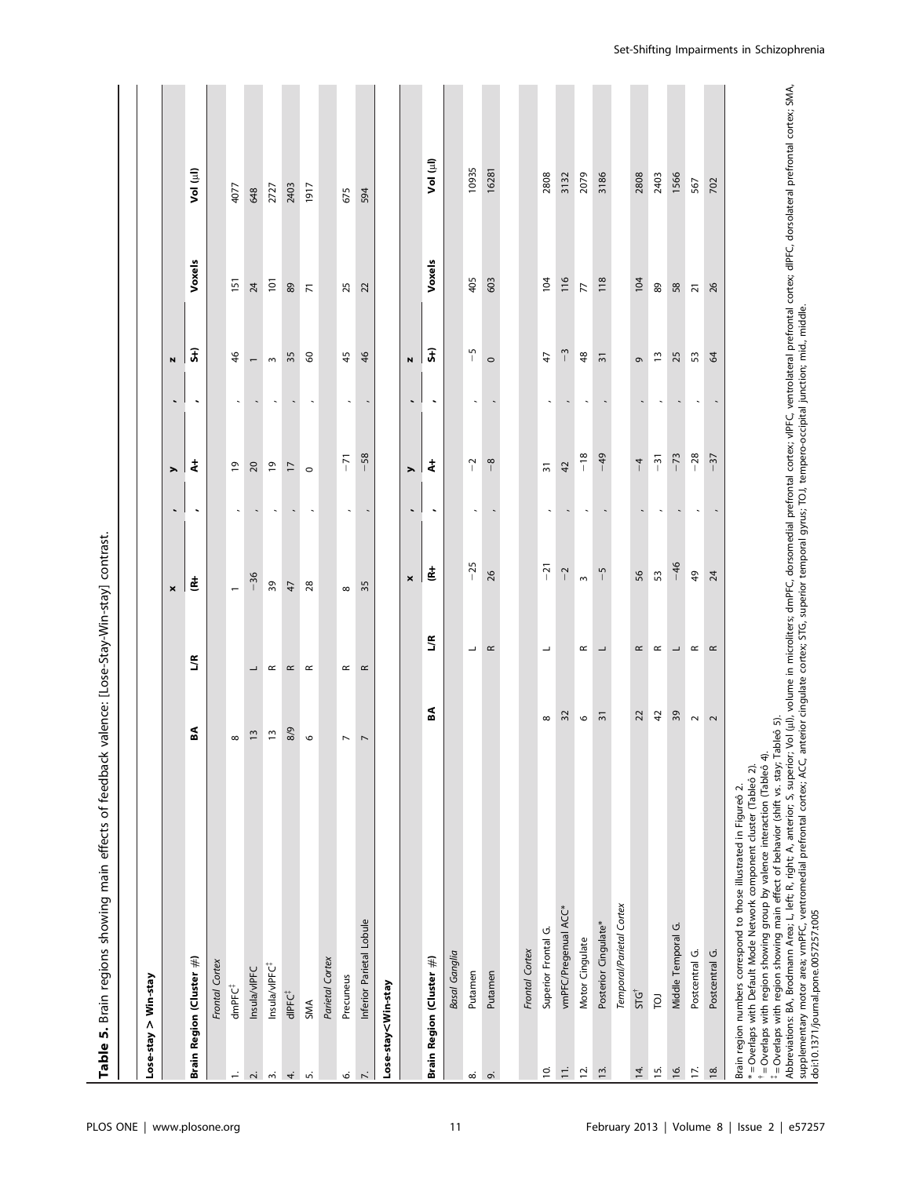| Table 5. Brain regions showing main effects of feedback                                                                                                                                                                                                                                                                                                                                                                                                                                                                                                                                                                                                                                                                                                                      |                |                          | valence: [Lose-Stay-Win-stay] contrast |                          |                          |                          |                          |                |            |
|------------------------------------------------------------------------------------------------------------------------------------------------------------------------------------------------------------------------------------------------------------------------------------------------------------------------------------------------------------------------------------------------------------------------------------------------------------------------------------------------------------------------------------------------------------------------------------------------------------------------------------------------------------------------------------------------------------------------------------------------------------------------------|----------------|--------------------------|----------------------------------------|--------------------------|--------------------------|--------------------------|--------------------------|----------------|------------|
| Lose-stay > Win-stay                                                                                                                                                                                                                                                                                                                                                                                                                                                                                                                                                                                                                                                                                                                                                         |                |                          |                                        |                          |                          |                          |                          |                |            |
|                                                                                                                                                                                                                                                                                                                                                                                                                                                                                                                                                                                                                                                                                                                                                                              |                |                          | ×                                      | $\overline{\phantom{a}}$ | ⋋                        | ч                        | N                        |                |            |
| Brain Region (Cluster #)                                                                                                                                                                                                                                                                                                                                                                                                                                                                                                                                                                                                                                                                                                                                                     | ã              | 7R                       | 岜                                      | ٠                        | ŧ                        |                          | $\overline{5}$           | Voxels         | Vol (ul)   |
| Frontal Cortex                                                                                                                                                                                                                                                                                                                                                                                                                                                                                                                                                                                                                                                                                                                                                               |                |                          |                                        |                          |                          |                          |                          |                |            |
| $\infty$<br>dmPFC <sup>+</sup><br>$\div$                                                                                                                                                                                                                                                                                                                                                                                                                                                                                                                                                                                                                                                                                                                                     |                |                          | $\overline{\phantom{0}}$               | $\ddot{\phantom{0}}$     | $\overline{6}$           |                          | 46                       | 151            | 4077       |
| Insula/vIPFC<br>$\overline{N}$                                                                                                                                                                                                                                                                                                                                                                                                                                                                                                                                                                                                                                                                                                                                               | $\overline{1}$ | ┙                        | $-36$                                  |                          | 20                       |                          | $\overline{\phantom{m}}$ | 24             | 648        |
| Insula/vIPFC <sup>#</sup><br>m                                                                                                                                                                                                                                                                                                                                                                                                                                                                                                                                                                                                                                                                                                                                               | $\overline{1}$ | $\simeq$                 | 39                                     |                          | $\overline{e}$           |                          | $\sim$                   | 101            | 2727       |
| dlPFC <sup>#</sup><br>4.                                                                                                                                                                                                                                                                                                                                                                                                                                                                                                                                                                                                                                                                                                                                                     | 8/9            | $\simeq$                 | 47                                     |                          | $\overline{1}$           |                          | 35                       | 89             | 2403       |
| $\circ$<br>SMA<br>Ln                                                                                                                                                                                                                                                                                                                                                                                                                                                                                                                                                                                                                                                                                                                                                         |                | $\simeq$                 | 28                                     | $\overline{\phantom{a}}$ | $\circ$                  | $\overline{\phantom{a}}$ | $\delta$                 | $\overline{z}$ | 1917       |
| Parietal Cortex                                                                                                                                                                                                                                                                                                                                                                                                                                                                                                                                                                                                                                                                                                                                                              |                |                          |                                        |                          |                          |                          |                          |                |            |
| $\overline{\phantom{a}}$<br>Precuneus<br>Ó.                                                                                                                                                                                                                                                                                                                                                                                                                                                                                                                                                                                                                                                                                                                                  |                | $\simeq$                 | $\infty$                               |                          | $-71$                    |                          | 45                       | 25             | 675        |
| $\overline{\phantom{a}}$<br>Inferior Parietal Lobule<br>$\overline{\phantom{a}}$                                                                                                                                                                                                                                                                                                                                                                                                                                                                                                                                                                                                                                                                                             |                | $\simeq$                 | 35                                     | $\overline{\phantom{a}}$ | $-58$                    |                          | 46                       | 22             | 594        |
| Lose-stay <win-stay< td=""><td></td><td></td><td></td><td></td><td></td><td></td><td></td><td></td><td></td></win-stay<>                                                                                                                                                                                                                                                                                                                                                                                                                                                                                                                                                                                                                                                     |                |                          |                                        |                          |                          |                          |                          |                |            |
|                                                                                                                                                                                                                                                                                                                                                                                                                                                                                                                                                                                                                                                                                                                                                                              |                |                          | $\pmb{\times}$                         | $\overline{\phantom{a}}$ | $\blacktriangleright$    | $\overline{\phantom{a}}$ | $\blacksquare$           |                |            |
| Brain Region (Cluster #)                                                                                                                                                                                                                                                                                                                                                                                                                                                                                                                                                                                                                                                                                                                                                     | SA             | 7R                       | ₫                                      | ٠                        | ŧ                        |                          | $\overline{\mathbf{r}}$  | Voxels         | (البا) loV |
| Basal Ganglia                                                                                                                                                                                                                                                                                                                                                                                                                                                                                                                                                                                                                                                                                                                                                                |                |                          |                                        |                          |                          |                          |                          |                |            |
| Putamen<br>$\infty$                                                                                                                                                                                                                                                                                                                                                                                                                                                                                                                                                                                                                                                                                                                                                          |                | ┙                        | $-25$                                  | $\ddot{\phantom{0}}$     | $\sim$<br>$\mathbf{I}$   |                          | S                        | 405            | 10935      |
| Putamen<br>ö                                                                                                                                                                                                                                                                                                                                                                                                                                                                                                                                                                                                                                                                                                                                                                 |                | $\simeq$                 | 26                                     |                          | $\infty$<br>$\mathbf{I}$ |                          | $\circ$                  | 603            | 16281      |
|                                                                                                                                                                                                                                                                                                                                                                                                                                                                                                                                                                                                                                                                                                                                                                              |                |                          |                                        |                          |                          |                          |                          |                |            |
| Frontal Cortex                                                                                                                                                                                                                                                                                                                                                                                                                                                                                                                                                                                                                                                                                                                                                               |                |                          |                                        |                          |                          |                          |                          |                |            |
| Superior Frontal G.<br>٥.                                                                                                                                                                                                                                                                                                                                                                                                                                                                                                                                                                                                                                                                                                                                                    | ${}^{\circ}$   | ┙                        | $-21$                                  |                          | $\overline{31}$          |                          | 47                       | 104            | 2808       |
| vmPFC/Pregenual ACC*<br>$\overline{\overline{z}}$                                                                                                                                                                                                                                                                                                                                                                                                                                                                                                                                                                                                                                                                                                                            | 32             |                          | $\mathbf{\dot{N}}$                     |                          | 42                       |                          | Ŵ<br>$\mathbf{I}$        | 116            | 3132       |
| Motor Cingulate<br><b>i</b><br>5                                                                                                                                                                                                                                                                                                                                                                                                                                                                                                                                                                                                                                                                                                                                             | $\mathsf{o}$   | $\simeq$                 | $\sim$                                 |                          | $-18$                    |                          | 48                       | 77             | 2079       |
| Posterior Cingulate*<br>$\overline{5}$                                                                                                                                                                                                                                                                                                                                                                                                                                                                                                                                                                                                                                                                                                                                       | $\overline{3}$ | $\overline{\phantom{a}}$ | $-5$                                   |                          | $-49$                    |                          | $\overline{3}$           | 118            | 3186       |
| Temporal/Parietal Cortex                                                                                                                                                                                                                                                                                                                                                                                                                                                                                                                                                                                                                                                                                                                                                     |                |                          |                                        |                          |                          |                          |                          |                |            |
| <b>STG</b><br>$\overline{4}$ .                                                                                                                                                                                                                                                                                                                                                                                                                                                                                                                                                                                                                                                                                                                                               | 22             | $\simeq$                 | 56                                     |                          | $\frac{1}{4}$            |                          | G                        | 104            | 2808       |
| ō<br>$15.$                                                                                                                                                                                                                                                                                                                                                                                                                                                                                                                                                                                                                                                                                                                                                                   | $\overline{a}$ | $\simeq$                 | 53                                     |                          | $-31$                    |                          | $\frac{1}{2}$            | $_{\rm 89}$    | 2403       |
| Middle Temporal G.<br>$\overline{6}$                                                                                                                                                                                                                                                                                                                                                                                                                                                                                                                                                                                                                                                                                                                                         | 39             | $\overline{\phantom{a}}$ | $-46$                                  |                          | $-73$                    |                          | 25                       | 58             | 1566       |
| Postcentral G.<br>IZ.                                                                                                                                                                                                                                                                                                                                                                                                                                                                                                                                                                                                                                                                                                                                                        | $\sim$         | $\simeq$                 | 49                                     |                          | $-28$                    |                          | 53                       | $\overline{z}$ | 567        |
| Postcentral G.<br>$18.$                                                                                                                                                                                                                                                                                                                                                                                                                                                                                                                                                                                                                                                                                                                                                      | $\sim$         | $\simeq$                 | 24                                     |                          | $-37$                    |                          | 64                       | 26             | 702        |
| Abbreviations: BA, Brodmann Area; L, left; R, right; A, anterior; S, superior; Vol (ul), volume in microliters; dmPFC, dorsomedial prefrontal cortex; vlPFC, ventrolateral prefrontal cortex; dlPFC, dorsolateral prefrontal c<br>supplementary motor area; wmPFC, ventromedial prefrontal cortex; ACC, anterior cingulate cortex; STG, superior temporal gyrus; TOJ, tempero-occipital junction; mid., middle.<br># = Overlaps with region showing main effect of behavior (shift vs. stay; Tableô 5)<br>$^*$ = Overlaps with region showing group by valence interaction (Tableó 4).<br>*= Overlaps with Default Mode Network component cluster (Tableó 2).<br>Brain region numbers correspond to those illustrated in Figureo 2.<br>doi:10.1371/journal.pone.0057257.t005 |                |                          |                                        |                          |                          |                          |                          |                |            |

Set-Shifting Impairments in Schizophrenia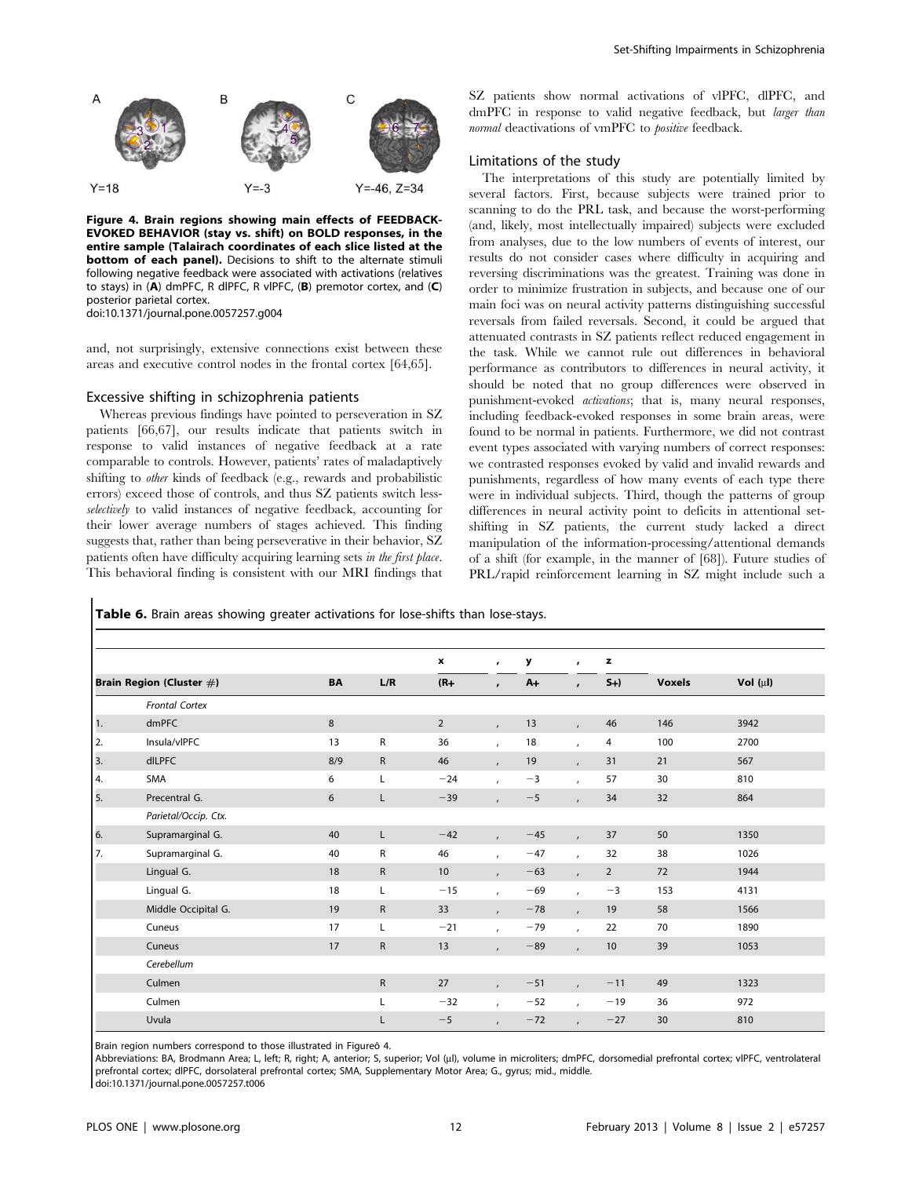

Figure 4. Brain regions showing main effects of FEEDBACK-EVOKED BEHAVIOR (stay vs. shift) on BOLD responses, in the entire sample (Talairach coordinates of each slice listed at the bottom of each panel). Decisions to shift to the alternate stimuli following negative feedback were associated with activations (relatives to stays) in (A) dmPFC, R dlPFC, R vlPFC, (B) premotor cortex, and (C) posterior parietal cortex. doi:10.1371/journal.pone.0057257.g004

and, not surprisingly, extensive connections exist between these areas and executive control nodes in the frontal cortex [64,65].

# Excessive shifting in schizophrenia patients

Whereas previous findings have pointed to perseveration in SZ patients [66,67], our results indicate that patients switch in response to valid instances of negative feedback at a rate comparable to controls. However, patients' rates of maladaptively shifting to other kinds of feedback (e.g., rewards and probabilistic errors) exceed those of controls, and thus SZ patients switch lessselectively to valid instances of negative feedback, accounting for their lower average numbers of stages achieved. This finding suggests that, rather than being perseverative in their behavior, SZ patients often have difficulty acquiring learning sets in the first place. This behavioral finding is consistent with our MRI findings that SZ patients show normal activations of vlPFC, dlPFC, and dmPFC in response to valid negative feedback, but larger than normal deactivations of vmPFC to *positive* feedback.

# Limitations of the study

The interpretations of this study are potentially limited by several factors. First, because subjects were trained prior to scanning to do the PRL task, and because the worst-performing (and, likely, most intellectually impaired) subjects were excluded from analyses, due to the low numbers of events of interest, our results do not consider cases where difficulty in acquiring and reversing discriminations was the greatest. Training was done in order to minimize frustration in subjects, and because one of our main foci was on neural activity patterns distinguishing successful reversals from failed reversals. Second, it could be argued that attenuated contrasts in SZ patients reflect reduced engagement in the task. While we cannot rule out differences in behavioral performance as contributors to differences in neural activity, it should be noted that no group differences were observed in punishment-evoked activations; that is, many neural responses, including feedback-evoked responses in some brain areas, were found to be normal in patients. Furthermore, we did not contrast event types associated with varying numbers of correct responses: we contrasted responses evoked by valid and invalid rewards and punishments, regardless of how many events of each type there were in individual subjects. Third, though the patterns of group differences in neural activity point to deficits in attentional setshifting in SZ patients, the current study lacked a direct manipulation of the information-processing/attentional demands of a shift (for example, in the manner of [68]). Future studies of PRL/rapid reinforcement learning in SZ might include such a

Table 6. Brain areas showing greater activations for lose-shifts than lose-stays.

|                |                          |           |              | $\mathbf{x}$   | $\mathbf{r}$   | y     | $\mathbf{r}$   | z              |               |               |
|----------------|--------------------------|-----------|--------------|----------------|----------------|-------|----------------|----------------|---------------|---------------|
|                | Brain Region (Cluster #) | <b>BA</b> | L/R          | $(R+$          | $\mathbf{r}$   | $A+$  | $\mathbf{r}$   | $S+$           | <b>Voxels</b> | Vol $(\mu I)$ |
|                | <b>Frontal Cortex</b>    |           |              |                |                |       |                |                |               |               |
| $\mathbf{1}$ . | dmPFC                    | 8         |              | $\overline{2}$ | $\mathbf{r}$   | 13    | $\overline{ }$ | 46             | 146           | 3942          |
| 2.             | Insula/vIPFC             | 13        | R            | 36             | $\mathbf{r}$   | 18    | $\mathbf{r}$   | 4              | 100           | 2700          |
| 3.             | dlLPFC                   | 8/9       | $\mathsf{R}$ | 46             | $\mathbf{r}$   | 19    | $\overline{1}$ | 31             | 21            | 567           |
| 4.             | SMA                      | 6         | Г            | $-24$          | $\overline{ }$ | $-3$  | $\overline{ }$ | 57             | 30            | 810           |
| 5.             | Precentral G.            | 6         | L            | $-39$          | $\overline{ }$ | $-5$  | $\overline{ }$ | 34             | 32            | 864           |
|                | Parietal/Occip. Ctx.     |           |              |                |                |       |                |                |               |               |
| 6.             | Supramarginal G.         | 40        | $\mathsf{L}$ | $-42$          | $\mathbf{r}$   | $-45$ | $\overline{1}$ | 37             | 50            | 1350          |
| 7.             | Supramarginal G.         | 40        | R            | 46             | $\overline{ }$ | $-47$ | $\overline{ }$ | 32             | 38            | 1026          |
|                | Lingual G.               | 18        | $\mathsf{R}$ | 10             | $\mathbf{r}$   | $-63$ | $\overline{ }$ | $\overline{2}$ | 72            | 1944          |
|                | Lingual G.               | 18        | L            | $-15$          | $\overline{ }$ | $-69$ | $\overline{ }$ | $-3$           | 153           | 4131          |
|                | Middle Occipital G.      | 19        | $\mathsf{R}$ | 33             | $\mathbf{r}$   | $-78$ | $\overline{ }$ | 19             | 58            | 1566          |
|                | Cuneus                   | 17        | L            | $-21$          | $\mathbf{r}$   | $-79$ | $\overline{ }$ | 22             | 70            | 1890          |
|                | Cuneus                   | 17        | $\mathsf{R}$ | 13             | $\mathbf{r}$   | $-89$ | $\mathbf{r}$   | 10             | 39            | 1053          |
|                | Cerebellum               |           |              |                |                |       |                |                |               |               |
|                | Culmen                   |           | $\mathsf{R}$ | 27             | $\mathbf{r}$   | $-51$ | $\overline{ }$ | $-11$          | 49            | 1323          |
|                | Culmen                   |           | L            | $-32$          | $\mathbf{r}$   | $-52$ | $\mathbf{r}$   | $-19$          | 36            | 972           |
|                | Uvula                    |           | L            | $-5$           | $\epsilon$     | $-72$ | $\lambda$      | $-27$          | 30            | 810           |

Brain region numbers correspond to those illustrated in Figureô 4.

Abbreviations: BA, Brodmann Area; L, left; R, right; A, anterior; S, superior; Vol (ul), volume in microliters; dmPFC, dorsomedial prefrontal cortex; vlPFC, ventrolateral prefrontal cortex; dlPFC, dorsolateral prefrontal cortex; SMA, Supplementary Motor Area; G., gyrus; mid., middle.

doi:10.1371/journal.pone.0057257.t006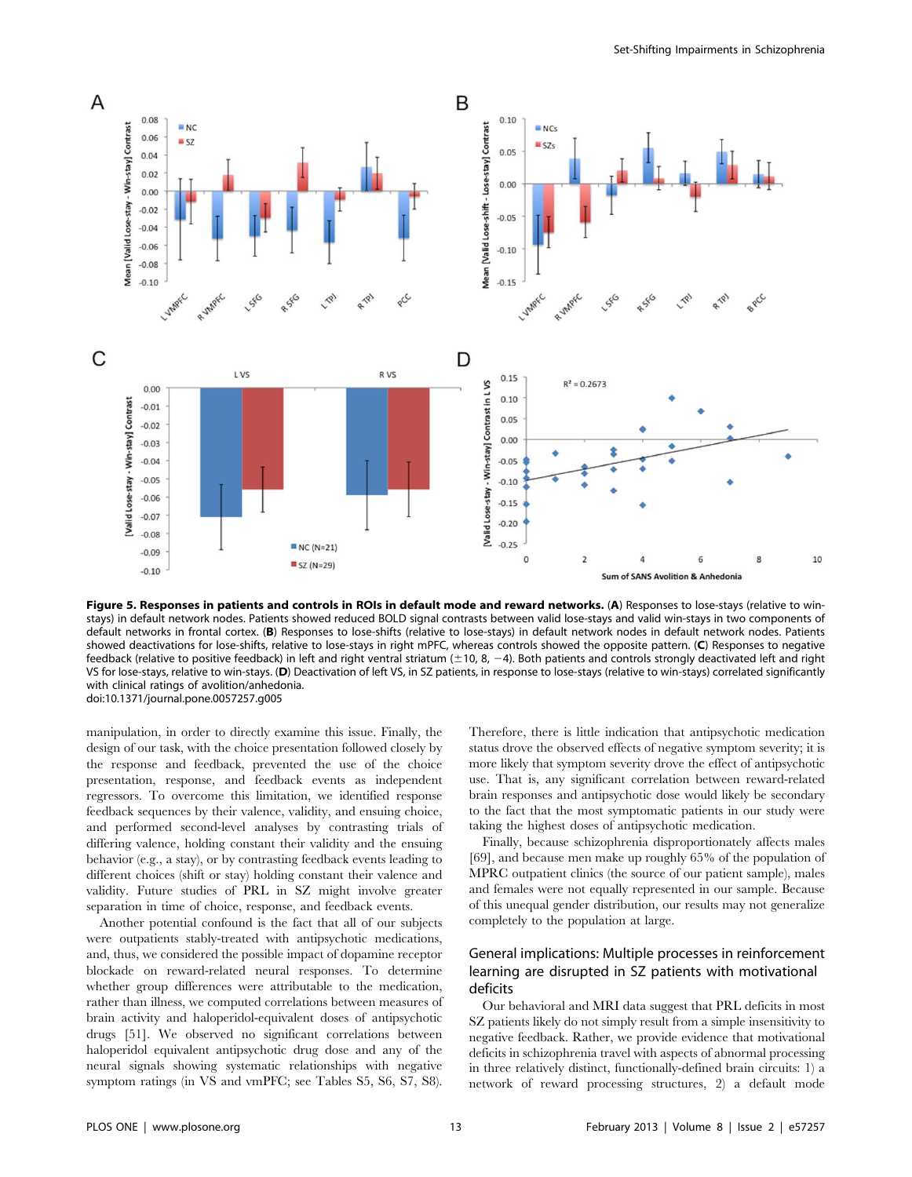

Figure 5. Responses in patients and controls in ROIs in default mode and reward networks. (A) Responses to lose-stays (relative to winstays) in default network nodes. Patients showed reduced BOLD signal contrasts between valid lose-stays and valid win-stays in two components of default networks in frontal cortex. (B) Responses to lose-shifts (relative to lose-stays) in default network nodes in default network nodes. Patients showed deactivations for lose-shifts, relative to lose-stays in right mPFC, whereas controls showed the opposite pattern. (C) Responses to negative feedback (relative to positive feedback) in left and right ventral striatum ( $\pm$ 10, 8, -4). Both patients and controls strongly deactivated left and right VS for lose-stays, relative to win-stays. (D) Deactivation of left VS, in SZ patients, in response to lose-stays (relative to win-stays) correlated significantly with clinical ratings of avolition/anhedonia. doi:10.1371/journal.pone.0057257.g005

manipulation, in order to directly examine this issue. Finally, the design of our task, with the choice presentation followed closely by the response and feedback, prevented the use of the choice presentation, response, and feedback events as independent regressors. To overcome this limitation, we identified response feedback sequences by their valence, validity, and ensuing choice, and performed second-level analyses by contrasting trials of differing valence, holding constant their validity and the ensuing behavior (e.g., a stay), or by contrasting feedback events leading to different choices (shift or stay) holding constant their valence and validity. Future studies of PRL in SZ might involve greater separation in time of choice, response, and feedback events.

Another potential confound is the fact that all of our subjects were outpatients stably-treated with antipsychotic medications, and, thus, we considered the possible impact of dopamine receptor blockade on reward-related neural responses. To determine whether group differences were attributable to the medication, rather than illness, we computed correlations between measures of brain activity and haloperidol-equivalent doses of antipsychotic drugs [51]. We observed no significant correlations between haloperidol equivalent antipsychotic drug dose and any of the neural signals showing systematic relationships with negative symptom ratings (in VS and vmPFC; see Tables S5, S6, S7, S8).

Therefore, there is little indication that antipsychotic medication status drove the observed effects of negative symptom severity; it is more likely that symptom severity drove the effect of antipsychotic use. That is, any significant correlation between reward-related brain responses and antipsychotic dose would likely be secondary to the fact that the most symptomatic patients in our study were taking the highest doses of antipsychotic medication.

Finally, because schizophrenia disproportionately affects males [69], and because men make up roughly 65% of the population of MPRC outpatient clinics (the source of our patient sample), males and females were not equally represented in our sample. Because of this unequal gender distribution, our results may not generalize completely to the population at large.

# General implications: Multiple processes in reinforcement learning are disrupted in SZ patients with motivational deficits

Our behavioral and MRI data suggest that PRL deficits in most SZ patients likely do not simply result from a simple insensitivity to negative feedback. Rather, we provide evidence that motivational deficits in schizophrenia travel with aspects of abnormal processing in three relatively distinct, functionally-defined brain circuits: 1) a network of reward processing structures, 2) a default mode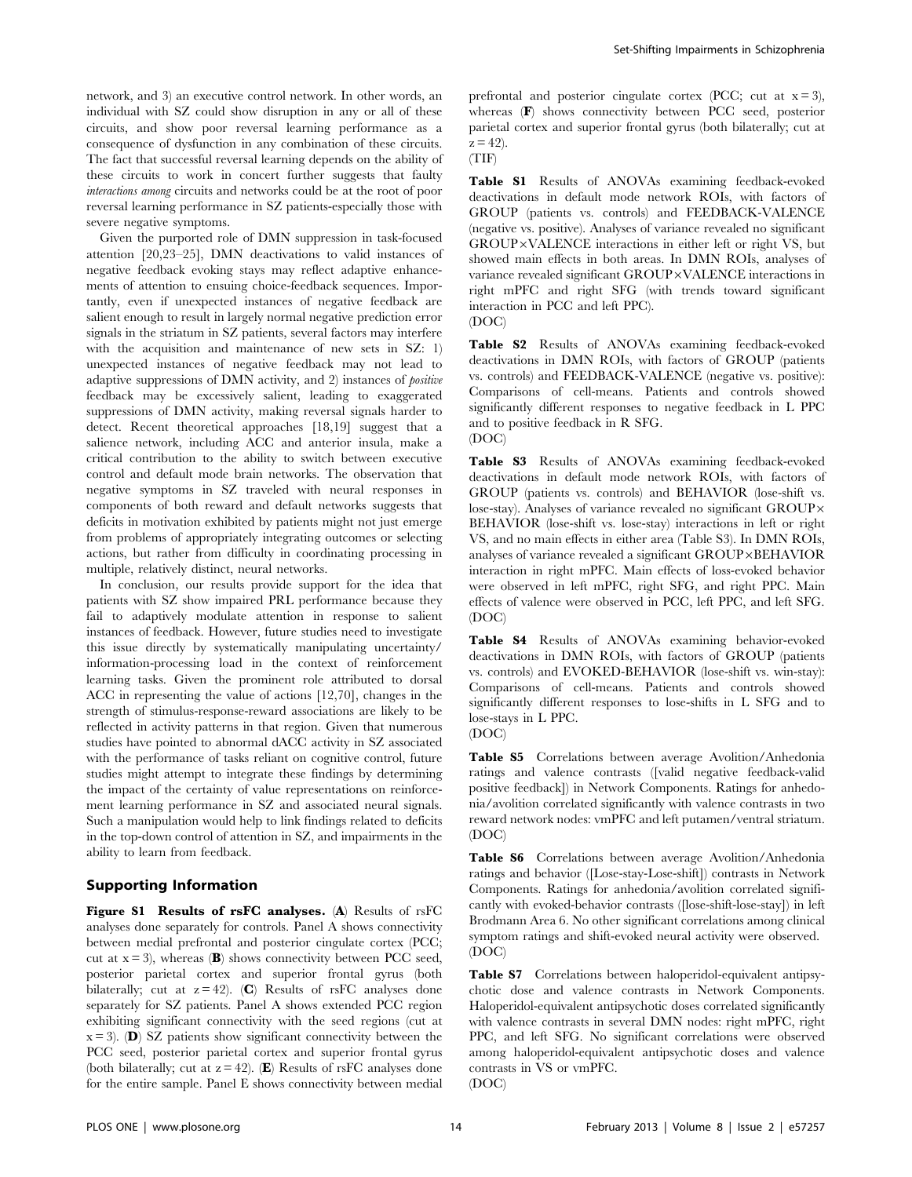network, and 3) an executive control network. In other words, an individual with SZ could show disruption in any or all of these circuits, and show poor reversal learning performance as a consequence of dysfunction in any combination of these circuits. The fact that successful reversal learning depends on the ability of these circuits to work in concert further suggests that faulty interactions among circuits and networks could be at the root of poor reversal learning performance in SZ patients-especially those with severe negative symptoms.

Given the purported role of DMN suppression in task-focused attention [20,23–25], DMN deactivations to valid instances of negative feedback evoking stays may reflect adaptive enhancements of attention to ensuing choice-feedback sequences. Importantly, even if unexpected instances of negative feedback are salient enough to result in largely normal negative prediction error signals in the striatum in SZ patients, several factors may interfere with the acquisition and maintenance of new sets in SZ: 1) unexpected instances of negative feedback may not lead to adaptive suppressions of DMN activity, and 2) instances of positive feedback may be excessively salient, leading to exaggerated suppressions of DMN activity, making reversal signals harder to detect. Recent theoretical approaches [18,19] suggest that a salience network, including ACC and anterior insula, make a critical contribution to the ability to switch between executive control and default mode brain networks. The observation that negative symptoms in SZ traveled with neural responses in components of both reward and default networks suggests that deficits in motivation exhibited by patients might not just emerge from problems of appropriately integrating outcomes or selecting actions, but rather from difficulty in coordinating processing in multiple, relatively distinct, neural networks.

In conclusion, our results provide support for the idea that patients with SZ show impaired PRL performance because they fail to adaptively modulate attention in response to salient instances of feedback. However, future studies need to investigate this issue directly by systematically manipulating uncertainty/ information-processing load in the context of reinforcement learning tasks. Given the prominent role attributed to dorsal ACC in representing the value of actions [12,70], changes in the strength of stimulus-response-reward associations are likely to be reflected in activity patterns in that region. Given that numerous studies have pointed to abnormal dACC activity in SZ associated with the performance of tasks reliant on cognitive control, future studies might attempt to integrate these findings by determining the impact of the certainty of value representations on reinforcement learning performance in SZ and associated neural signals. Such a manipulation would help to link findings related to deficits in the top-down control of attention in SZ, and impairments in the ability to learn from feedback.

# Supporting Information

Figure S1 Results of rsFC analyses. (A) Results of rsFC analyses done separately for controls. Panel A shows connectivity between medial prefrontal and posterior cingulate cortex (PCC; cut at  $x = 3$ ), whereas (B) shows connectivity between PCC seed, posterior parietal cortex and superior frontal gyrus (both bilaterally; cut at  $z = 42$ . (C) Results of rsFC analyses done separately for SZ patients. Panel A shows extended PCC region exhibiting significant connectivity with the seed regions (cut at  $x = 3$ . (**D**) SZ patients show significant connectivity between the PCC seed, posterior parietal cortex and superior frontal gyrus (both bilaterally; cut at  $z = 42$ ). (E) Results of rsFC analyses done for the entire sample. Panel E shows connectivity between medial prefrontal and posterior cingulate cortex (PCC; cut at  $x = 3$ ), whereas (F) shows connectivity between PCC seed, posterior parietal cortex and superior frontal gyrus (both bilaterally; cut at  $z = 42$ ).

(TIF)

Table S1 Results of ANOVAs examining feedback-evoked deactivations in default mode network ROIs, with factors of GROUP (patients vs. controls) and FEEDBACK-VALENCE (negative vs. positive). Analyses of variance revealed no significant GROUP×VALENCE interactions in either left or right VS, but showed main effects in both areas. In DMN ROIs, analyses of variance revealed significant GROUP×VALENCE interactions in right mPFC and right SFG (with trends toward significant interaction in PCC and left PPC). (DOC)

Table S2 Results of ANOVAs examining feedback-evoked deactivations in DMN ROIs, with factors of GROUP (patients vs. controls) and FEEDBACK-VALENCE (negative vs. positive): Comparisons of cell-means. Patients and controls showed significantly different responses to negative feedback in L PPC and to positive feedback in R SFG. (DOC)

Table S3 Results of ANOVAs examining feedback-evoked deactivations in default mode network ROIs, with factors of GROUP (patients vs. controls) and BEHAVIOR (lose-shift vs. lose-stay). Analyses of variance revealed no significant GROUP $\times$ BEHAVIOR (lose-shift vs. lose-stay) interactions in left or right VS, and no main effects in either area (Table S3). In DMN ROIs, analyses of variance revealed a significant GROUP×BEHAVIOR interaction in right mPFC. Main effects of loss-evoked behavior were observed in left mPFC, right SFG, and right PPC. Main effects of valence were observed in PCC, left PPC, and left SFG. (DOC)

Table S4 Results of ANOVAs examining behavior-evoked deactivations in DMN ROIs, with factors of GROUP (patients vs. controls) and EVOKED-BEHAVIOR (lose-shift vs. win-stay): Comparisons of cell-means. Patients and controls showed significantly different responses to lose-shifts in L SFG and to lose-stays in L PPC.

(DOC)

Table S5 Correlations between average Avolition/Anhedonia ratings and valence contrasts ([valid negative feedback-valid positive feedback]) in Network Components. Ratings for anhedonia/avolition correlated significantly with valence contrasts in two reward network nodes: vmPFC and left putamen/ventral striatum. (DOC)

Table S6 Correlations between average Avolition/Anhedonia ratings and behavior ([Lose-stay-Lose-shift]) contrasts in Network Components. Ratings for anhedonia/avolition correlated significantly with evoked-behavior contrasts ([lose-shift-lose-stay]) in left Brodmann Area 6. No other significant correlations among clinical symptom ratings and shift-evoked neural activity were observed. (DOC)

Table S7 Correlations between haloperidol-equivalent antipsychotic dose and valence contrasts in Network Components. Haloperidol-equivalent antipsychotic doses correlated significantly with valence contrasts in several DMN nodes: right mPFC, right PPC, and left SFG. No significant correlations were observed among haloperidol-equivalent antipsychotic doses and valence contrasts in VS or vmPFC.

(DOC)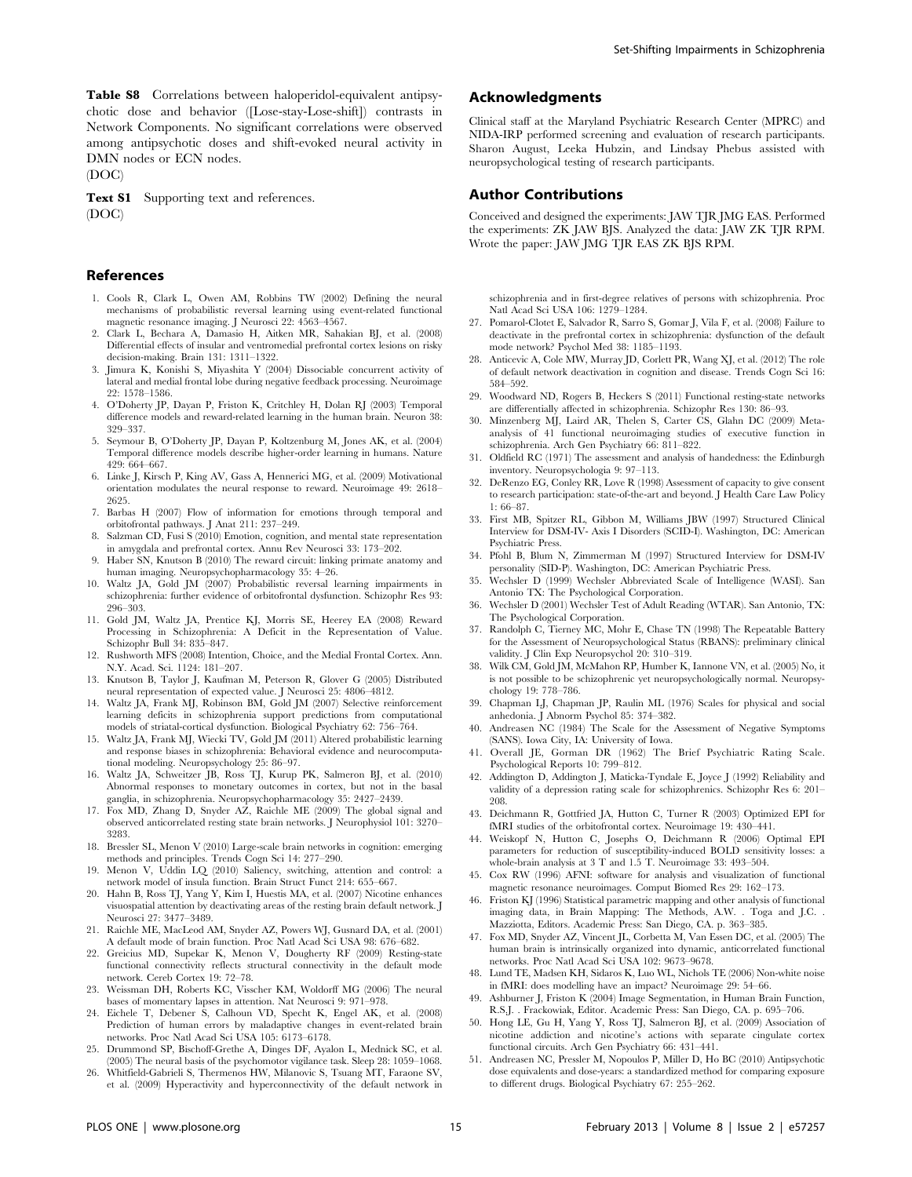Table S8 Correlations between haloperidol-equivalent antipsychotic dose and behavior ([Lose-stay-Lose-shift]) contrasts in Network Components. No significant correlations were observed among antipsychotic doses and shift-evoked neural activity in DMN nodes or ECN nodes.

(DOC)

Text S1 Supporting text and references. (DOC)

## References

- 1. Cools R, Clark L, Owen AM, Robbins TW (2002) Defining the neural mechanisms of probabilistic reversal learning using event-related functional magnetic resonance imaging. J Neurosci 22: 4563–4567.
- 2. Clark L, Bechara A, Damasio H, Aitken MR, Sahakian BJ, et al. (2008) Differential effects of insular and ventromedial prefrontal cortex lesions on risky decision-making. Brain 131: 1311–1322.
- 3. Jimura K, Konishi S, Miyashita Y (2004) Dissociable concurrent activity of lateral and medial frontal lobe during negative feedback processing. Neuroimage 22: 1578–1586.
- 4. O'Doherty JP, Dayan P, Friston K, Critchley H, Dolan RJ (2003) Temporal difference models and reward-related learning in the human brain. Neuron 38: 329–337.
- 5. Seymour B, O'Doherty JP, Dayan P, Koltzenburg M, Jones AK, et al. (2004) Temporal difference models describe higher-order learning in humans. Nature 429: 664–667.
- 6. Linke J, Kirsch P, King AV, Gass A, Hennerici MG, et al. (2009) Motivational orientation modulates the neural response to reward. Neuroimage 49: 2618– 2625.
- 7. Barbas H (2007) Flow of information for emotions through temporal and orbitofrontal pathways. J Anat 211: 237–249.
- 8. Salzman CD, Fusi S (2010) Emotion, cognition, and mental state representation in amygdala and prefrontal cortex. Annu Rev Neurosci 33: 173–202.
- 9. Haber SN, Knutson B (2010) The reward circuit: linking primate anatomy and human imaging. Neuropsychopharmacology 35: 4–26.
- 10. Waltz JA, Gold JM (2007) Probabilistic reversal learning impairments in schizophrenia: further evidence of orbitofrontal dysfunction. Schizophr Res 93: 296–303.
- 11. Gold JM, Waltz JA, Prentice KJ, Morris SE, Heerey EA (2008) Reward Processing in Schizophrenia: A Deficit in the Representation of Value. Schizophr Bull 34: 835–847.
- 12. Rushworth MFS (2008) Intention, Choice, and the Medial Frontal Cortex. Ann. N.Y. Acad. Sci. 1124: 181–207.
- 13. Knutson B, Taylor J, Kaufman M, Peterson R, Glover G (2005) Distributed neural representation of expected value. J Neurosci 25: 4806–4812.
- 14. Waltz JA, Frank MJ, Robinson BM, Gold JM (2007) Selective reinforcement learning deficits in schizophrenia support predictions from computational models of striatal-cortical dysfunction. Biological Psychiatry 62: 756–764.
- 15. Waltz JA, Frank MJ, Wiecki TV, Gold JM (2011) Altered probabilistic learning and response biases in schizophrenia: Behavioral evidence and neurocomputational modeling. Neuropsychology 25: 86–97.
- 16. Waltz JA, Schweitzer JB, Ross TJ, Kurup PK, Salmeron BJ, et al. (2010) Abnormal responses to monetary outcomes in cortex, but not in the basal ganglia, in schizophrenia. Neuropsychopharmacology 35: 2427–2439.
- 17. Fox MD, Zhang D, Snyder AZ, Raichle ME (2009) The global signal and observed anticorrelated resting state brain networks. J Neurophysiol 101: 3270– 3283.
- 18. Bressler SL, Menon V (2010) Large-scale brain networks in cognition: emerging methods and principles. Trends Cogn Sci 14: 277–290.
- 19. Menon V, Uddin LQ (2010) Saliency, switching, attention and control: a network model of insula function. Brain Struct Funct 214: 655–667.
- 20. Hahn B, Ross TJ, Yang Y, Kim I, Huestis MA, et al. (2007) Nicotine enhances visuospatial attention by deactivating areas of the resting brain default network. J Neurosci 27: 3477–3489.
- 21. Raichle ME, MacLeod AM, Snyder AZ, Powers WJ, Gusnard DA, et al. (2001) A default mode of brain function. Proc Natl Acad Sci USA 98: 676–682.
- 22. Greicius MD, Supekar K, Menon V, Dougherty RF (2009) Resting-state functional connectivity reflects structural connectivity in the default mode network. Cereb Cortex 19: 72–78.
- 23. Weissman DH, Roberts KC, Visscher KM, Woldorff MG (2006) The neural bases of momentary lapses in attention. Nat Neurosci 9: 971–978.
- 24. Eichele T, Debener S, Calhoun VD, Specht K, Engel AK, et al. (2008) Prediction of human errors by maladaptive changes in event-related brain networks. Proc Natl Acad Sci USA 105: 6173–6178.
- 25. Drummond SP, Bischoff-Grethe A, Dinges DF, Ayalon L, Mednick SC, et al. (2005) The neural basis of the psychomotor vigilance task. Sleep 28: 1059–1068.
- 26. Whitfield-Gabrieli S, Thermenos HW, Milanovic S, Tsuang MT, Faraone SV, et al. (2009) Hyperactivity and hyperconnectivity of the default network in

# Acknowledgments

Clinical staff at the Maryland Psychiatric Research Center (MPRC) and NIDA-IRP performed screening and evaluation of research participants. Sharon August, Leeka Hubzin, and Lindsay Phebus assisted with neuropsychological testing of research participants.

#### Author Contributions

Conceived and designed the experiments: JAW TJR JMG EAS. Performed the experiments: ZK JAW BJS. Analyzed the data: JAW ZK TJR RPM. Wrote the paper: JAW JMG TJR EAS ZK BJS RPM.

schizophrenia and in first-degree relatives of persons with schizophrenia. Proc Natl Acad Sci USA 106: 1279–1284.

- 27. Pomarol-Clotet E, Salvador R, Sarro S, Gomar J, Vila F, et al. (2008) Failure to deactivate in the prefrontal cortex in schizophrenia: dysfunction of the default mode network? Psychol Med 38: 1185–1193.
- 28. Anticevic A, Cole MW, Murray JD, Corlett PR, Wang XJ, et al. (2012) The role of default network deactivation in cognition and disease. Trends Cogn Sci 16: 584–592.
- 29. Woodward ND, Rogers B, Heckers S (2011) Functional resting-state networks are differentially affected in schizophrenia. Schizophr Res 130: 86–93.
- 30. Minzenberg MJ, Laird AR, Thelen S, Carter CS, Glahn DC (2009) Metaanalysis of 41 functional neuroimaging studies of executive function in schizophrenia. Arch Gen Psychiatry 66: 811–822.
- 31. Oldfield RC (1971) The assessment and analysis of handedness: the Edinburgh inventory. Neuropsychologia 9: 97–113.
- 32. DeRenzo EG, Conley RR, Love R (1998) Assessment of capacity to give consent to research participation: state-of-the-art and beyond. J Health Care Law Policy 1: 66–87.
- 33. First MB, Spitzer RL, Gibbon M, Williams JBW (1997) Structured Clinical Interview for DSM-IV- Axis I Disorders (SCID-I). Washington, DC: American Psychiatric Press.
- 34. Pfohl B, Blum N, Zimmerman M (1997) Structured Interview for DSM-IV personality (SID-P). Washington, DC: American Psychiatric Press.
- 35. Wechsler D (1999) Wechsler Abbreviated Scale of Intelligence (WASI). San Antonio TX: The Psychological Corporation.
- 36. Wechsler D (2001) Wechsler Test of Adult Reading (WTAR). San Antonio, TX: The Psychological Corporation.
- 37. Randolph C, Tierney MC, Mohr E, Chase TN (1998) The Repeatable Battery for the Assessment of Neuropsychological Status (RBANS): preliminary clinical validity. J Clin Exp Neuropsychol 20: 310–319.
- 38. Wilk CM, Gold JM, McMahon RP, Humber K, Iannone VN, et al. (2005) No, it is not possible to be schizophrenic yet neuropsychologically normal. Neuropsychology 19: 778–786.
- 39. Chapman LJ, Chapman JP, Raulin ML (1976) Scales for physical and social anhedonia. J Abnorm Psychol 85: 374–382.
- 40. Andreasen NC (1984) The Scale for the Assessment of Negative Symptoms (SANS). Iowa City, IA: University of Iowa.
- 41. Overall JE, Gorman DR (1962) The Brief Psychiatric Rating Scale. Psychological Reports 10: 799–812.
- 42. Addington D, Addington J, Maticka-Tyndale E, Joyce J (1992) Reliability and validity of a depression rating scale for schizophrenics. Schizophr Res 6: 201– 208.
- 43. Deichmann R, Gottfried JA, Hutton C, Turner R (2003) Optimized EPI for fMRI studies of the orbitofrontal cortex. Neuroimage 19: 430–441.
- 44. Weiskopf N, Hutton C, Josephs O, Deichmann R (2006) Optimal EPI parameters for reduction of susceptibility-induced BOLD sensitivity losses: a whole-brain analysis at 3 T and 1.5 T. Neuroimage 33: 493–504.
- 45. Cox RW (1996) AFNI: software for analysis and visualization of functional magnetic resonance neuroimages. Comput Biomed Res 29: 162–173.
- 46. Friston KJ (1996) Statistical parametric mapping and other analysis of functional imaging data, in Brain Mapping: The Methods, A.W. . Toga and J.C. . Mazziotta, Editors. Academic Press: San Diego, CA. p. 363–385.
- 47. Fox MD, Snyder AZ, Vincent JL, Corbetta M, Van Essen DC, et al. (2005) The human brain is intrinsically organized into dynamic, anticorrelated functional networks. Proc Natl Acad Sci USA 102: 9673–9678.
- 48. Lund TE, Madsen KH, Sidaros K, Luo WL, Nichols TE (2006) Non-white noise in fMRI: does modelling have an impact? Neuroimage 29: 54–66.
- 49. Ashburner J, Friston K (2004) Image Segmentation, in Human Brain Function, R.S.J. . Frackowiak, Editor. Academic Press: San Diego, CA. p. 695–706.
- 50. Hong LE, Gu H, Yang Y, Ross TJ, Salmeron BJ, et al. (2009) Association of nicotine addiction and nicotine's actions with separate cingulate cortex functional circuits. Arch Gen Psychiatry 66: 431–441.
- 51. Andreasen NC, Pressler M, Nopoulos P, Miller D, Ho BC (2010) Antipsychotic dose equivalents and dose-years: a standardized method for comparing exposure to different drugs. Biological Psychiatry 67: 255–262.